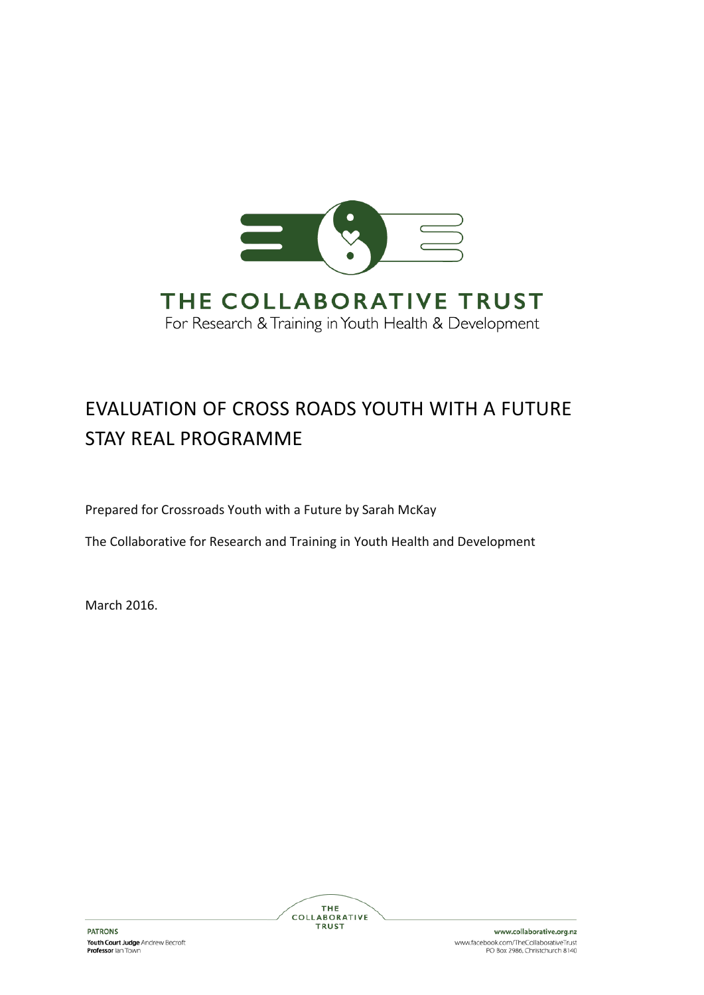

# EVALUATION OF CROSS ROADS YOUTH WITH A FUTURE STAY REAL PROGRAMME

Prepared for Crossroads Youth with a Future by Sarah McKay

The Collaborative for Research and Training in Youth Health and Development

March 2016.



www.collaborative.org.nz www.facebook.com/TheCollaborativeTrust PO Box 2986, Christchurch 8140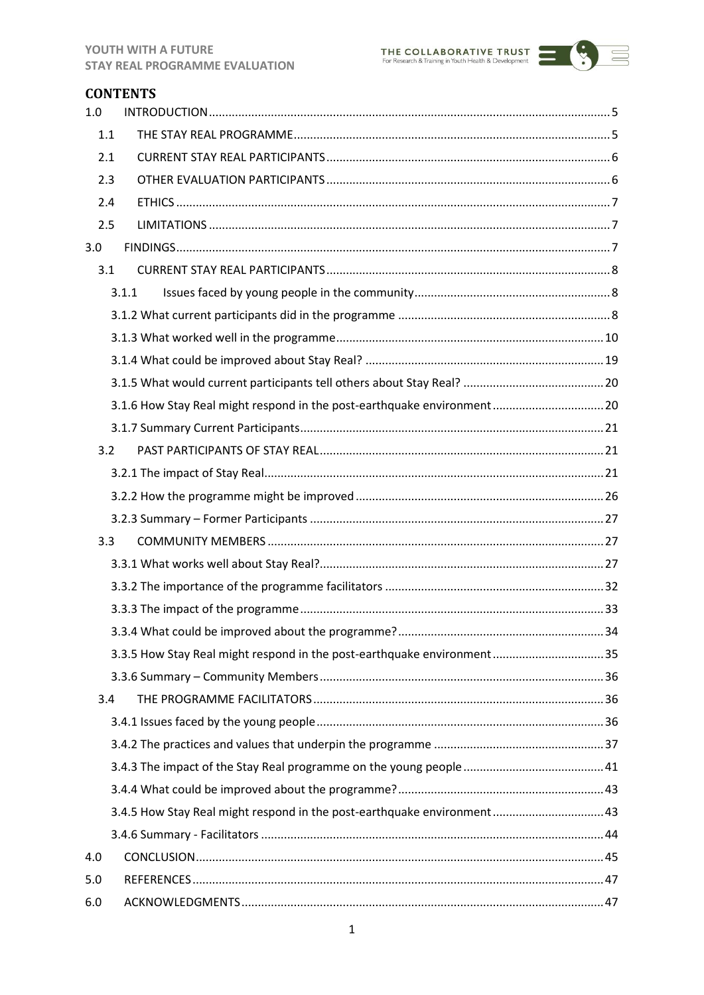#### YOUTH WITH A FUTURE **STAY REAL PROGRAMME EVALUATION**



# **CONTENTS**

| 1.0 |                                                                         |  |
|-----|-------------------------------------------------------------------------|--|
|     | 1.1                                                                     |  |
|     | 2.1                                                                     |  |
|     | 2.3                                                                     |  |
|     | 2.4                                                                     |  |
|     | 2.5                                                                     |  |
| 3.0 |                                                                         |  |
|     | 3.1                                                                     |  |
|     | 3.1.1                                                                   |  |
|     |                                                                         |  |
|     |                                                                         |  |
|     |                                                                         |  |
|     |                                                                         |  |
|     | 3.1.6 How Stay Real might respond in the post-earthquake environment 20 |  |
|     |                                                                         |  |
|     | 3.2                                                                     |  |
|     |                                                                         |  |
|     |                                                                         |  |
|     |                                                                         |  |
|     | 3.3                                                                     |  |
|     |                                                                         |  |
|     |                                                                         |  |
|     |                                                                         |  |
|     |                                                                         |  |
|     | 3.3.5 How Stay Real might respond in the post-earthquake environment 35 |  |
|     |                                                                         |  |
|     | 3.4                                                                     |  |
|     |                                                                         |  |
|     |                                                                         |  |
|     |                                                                         |  |
|     |                                                                         |  |
|     | 3.4.5 How Stay Real might respond in the post-earthquake environment 43 |  |
|     |                                                                         |  |
| 4.0 |                                                                         |  |
| 5.0 |                                                                         |  |
| 6.0 |                                                                         |  |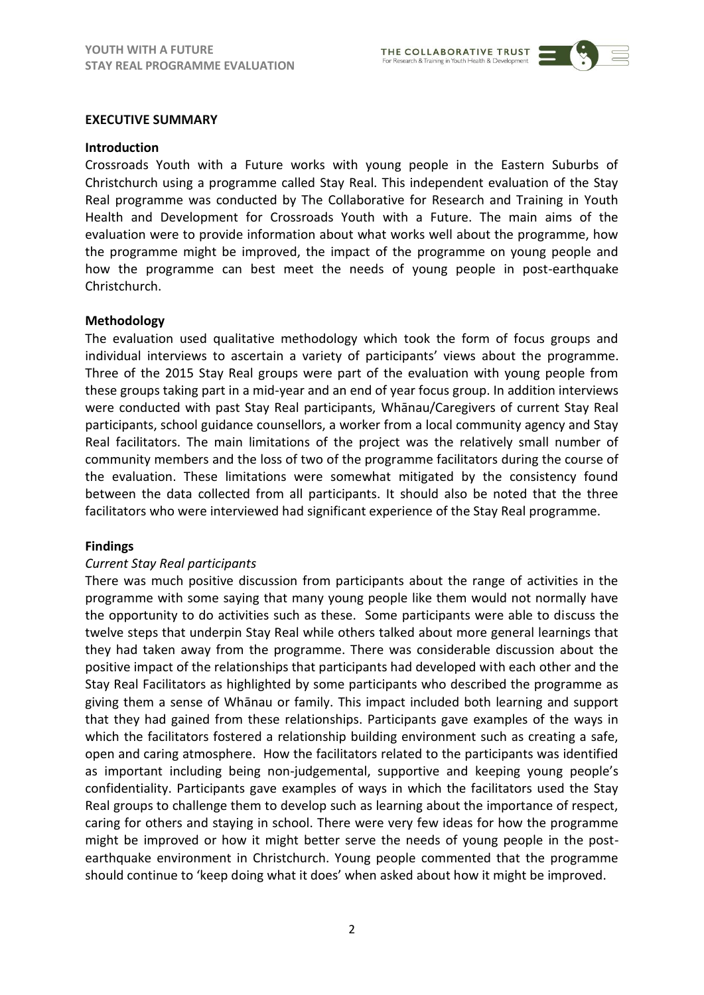THE COLLABORATIVE TRUST For Research & Training in Youth Health & Dr



#### **EXECUTIVE SUMMARY**

#### **Introduction**

Crossroads Youth with a Future works with young people in the Eastern Suburbs of Christchurch using a programme called Stay Real. This independent evaluation of the Stay Real programme was conducted by The Collaborative for Research and Training in Youth Health and Development for Crossroads Youth with a Future. The main aims of the evaluation were to provide information about what works well about the programme, how the programme might be improved, the impact of the programme on young people and how the programme can best meet the needs of young people in post-earthquake Christchurch.

#### **Methodology**

The evaluation used qualitative methodology which took the form of focus groups and individual interviews to ascertain a variety of participants' views about the programme. Three of the 2015 Stay Real groups were part of the evaluation with young people from these groups taking part in a mid-year and an end of year focus group. In addition interviews were conducted with past Stay Real participants, Whānau/Caregivers of current Stay Real participants, school guidance counsellors, a worker from a local community agency and Stay Real facilitators. The main limitations of the project was the relatively small number of community members and the loss of two of the programme facilitators during the course of the evaluation. These limitations were somewhat mitigated by the consistency found between the data collected from all participants. It should also be noted that the three facilitators who were interviewed had significant experience of the Stay Real programme.

#### **Findings**

#### *Current Stay Real participants*

There was much positive discussion from participants about the range of activities in the programme with some saying that many young people like them would not normally have the opportunity to do activities such as these. Some participants were able to discuss the twelve steps that underpin Stay Real while others talked about more general learnings that they had taken away from the programme. There was considerable discussion about the positive impact of the relationships that participants had developed with each other and the Stay Real Facilitators as highlighted by some participants who described the programme as giving them a sense of Whānau or family. This impact included both learning and support that they had gained from these relationships. Participants gave examples of the ways in which the facilitators fostered a relationship building environment such as creating a safe, open and caring atmosphere. How the facilitators related to the participants was identified as important including being non-judgemental, supportive and keeping young people's confidentiality. Participants gave examples of ways in which the facilitators used the Stay Real groups to challenge them to develop such as learning about the importance of respect, caring for others and staying in school. There were very few ideas for how the programme might be improved or how it might better serve the needs of young people in the postearthquake environment in Christchurch. Young people commented that the programme should continue to 'keep doing what it does' when asked about how it might be improved.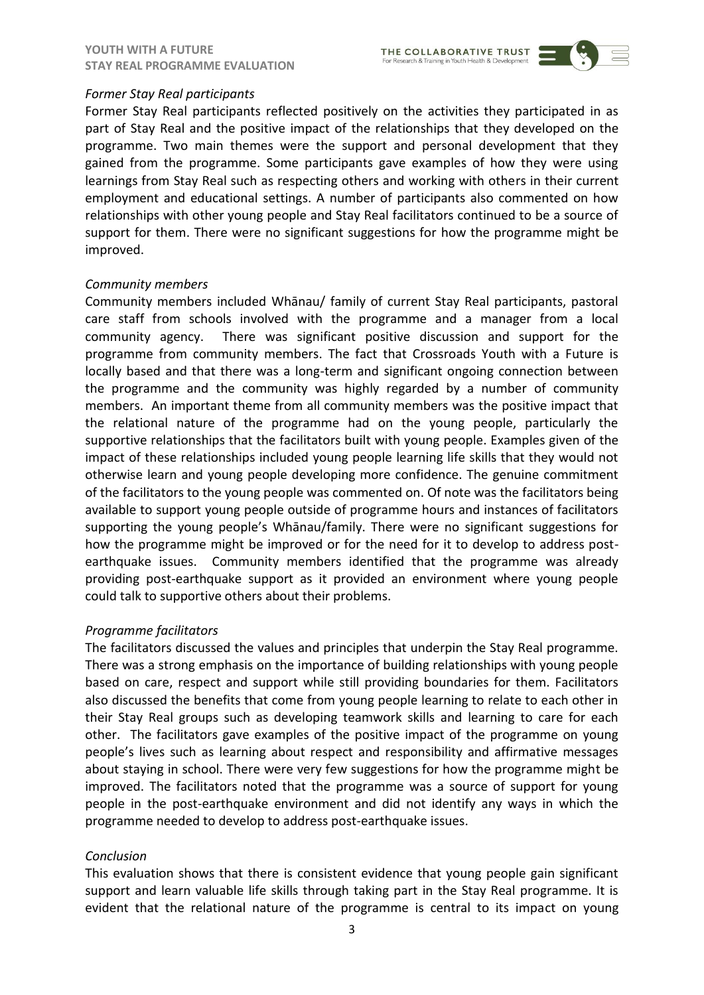

## *Former Stay Real participants*

Former Stay Real participants reflected positively on the activities they participated in as part of Stay Real and the positive impact of the relationships that they developed on the programme. Two main themes were the support and personal development that they gained from the programme. Some participants gave examples of how they were using learnings from Stay Real such as respecting others and working with others in their current employment and educational settings. A number of participants also commented on how relationships with other young people and Stay Real facilitators continued to be a source of support for them. There were no significant suggestions for how the programme might be improved.

#### *Community members*

Community members included Whānau/ family of current Stay Real participants, pastoral care staff from schools involved with the programme and a manager from a local community agency. There was significant positive discussion and support for the programme from community members. The fact that Crossroads Youth with a Future is locally based and that there was a long-term and significant ongoing connection between the programme and the community was highly regarded by a number of community members. An important theme from all community members was the positive impact that the relational nature of the programme had on the young people, particularly the supportive relationships that the facilitators built with young people. Examples given of the impact of these relationships included young people learning life skills that they would not otherwise learn and young people developing more confidence. The genuine commitment of the facilitators to the young people was commented on. Of note was the facilitators being available to support young people outside of programme hours and instances of facilitators supporting the young people's Whānau/family. There were no significant suggestions for how the programme might be improved or for the need for it to develop to address postearthquake issues. Community members identified that the programme was already providing post-earthquake support as it provided an environment where young people could talk to supportive others about their problems.

#### *Programme facilitators*

The facilitators discussed the values and principles that underpin the Stay Real programme. There was a strong emphasis on the importance of building relationships with young people based on care, respect and support while still providing boundaries for them. Facilitators also discussed the benefits that come from young people learning to relate to each other in their Stay Real groups such as developing teamwork skills and learning to care for each other. The facilitators gave examples of the positive impact of the programme on young people's lives such as learning about respect and responsibility and affirmative messages about staying in school. There were very few suggestions for how the programme might be improved. The facilitators noted that the programme was a source of support for young people in the post-earthquake environment and did not identify any ways in which the programme needed to develop to address post-earthquake issues.

#### *Conclusion*

This evaluation shows that there is consistent evidence that young people gain significant support and learn valuable life skills through taking part in the Stay Real programme. It is evident that the relational nature of the programme is central to its impact on young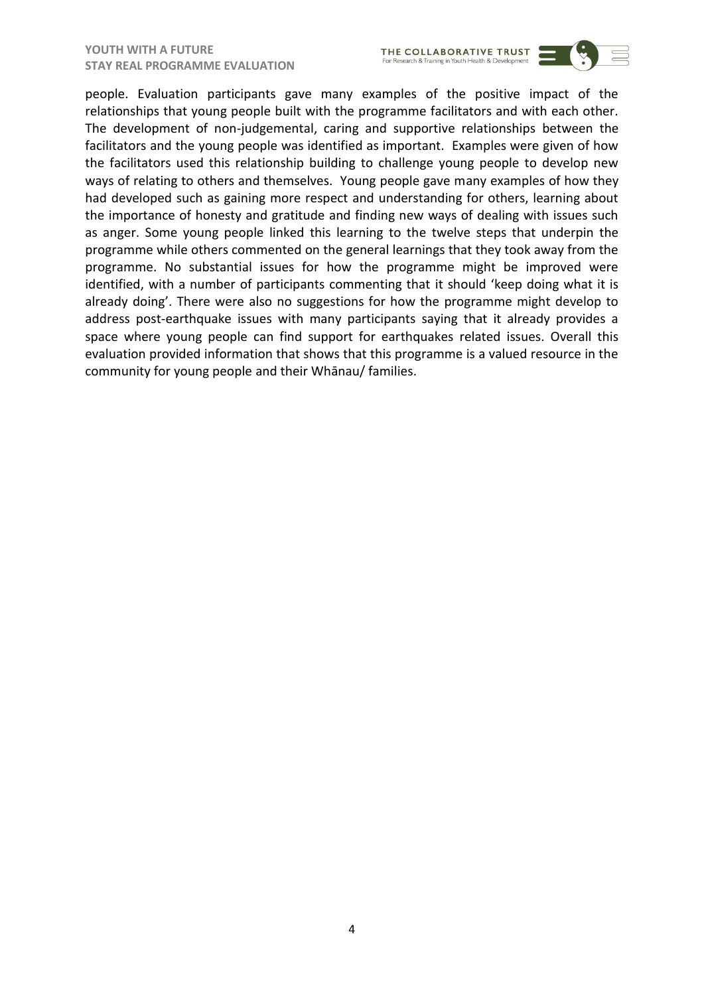

people. Evaluation participants gave many examples of the positive impact of the relationships that young people built with the programme facilitators and with each other. The development of non-judgemental, caring and supportive relationships between the facilitators and the young people was identified as important. Examples were given of how the facilitators used this relationship building to challenge young people to develop new ways of relating to others and themselves. Young people gave many examples of how they had developed such as gaining more respect and understanding for others, learning about the importance of honesty and gratitude and finding new ways of dealing with issues such as anger. Some young people linked this learning to the twelve steps that underpin the programme while others commented on the general learnings that they took away from the programme. No substantial issues for how the programme might be improved were identified, with a number of participants commenting that it should 'keep doing what it is already doing'. There were also no suggestions for how the programme might develop to address post-earthquake issues with many participants saying that it already provides a space where young people can find support for earthquakes related issues. Overall this evaluation provided information that shows that this programme is a valued resource in the community for young people and their Whānau/ families.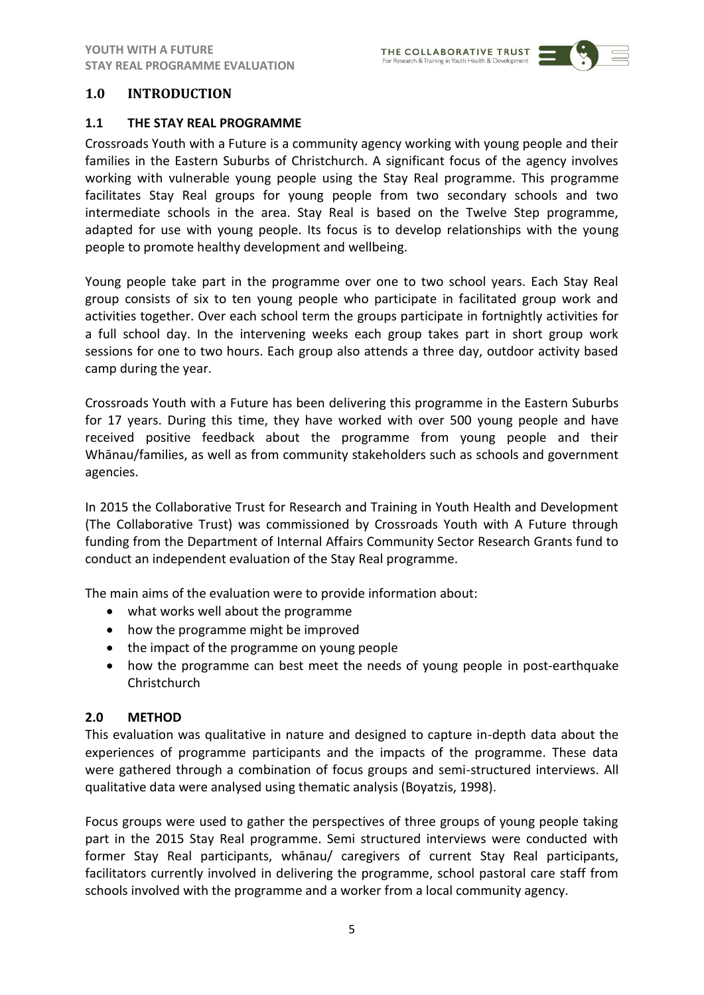

## <span id="page-5-0"></span>**1.0 INTRODUCTION**

#### <span id="page-5-1"></span>**1.1 THE STAY REAL PROGRAMME**

Crossroads Youth with a Future is a community agency working with young people and their families in the Eastern Suburbs of Christchurch. A significant focus of the agency involves working with vulnerable young people using the Stay Real programme. This programme facilitates Stay Real groups for young people from two secondary schools and two intermediate schools in the area. Stay Real is based on the Twelve Step programme, adapted for use with young people. Its focus is to develop relationships with the young people to promote healthy development and wellbeing.

Young people take part in the programme over one to two school years. Each Stay Real group consists of six to ten young people who participate in facilitated group work and activities together. Over each school term the groups participate in fortnightly activities for a full school day. In the intervening weeks each group takes part in short group work sessions for one to two hours. Each group also attends a three day, outdoor activity based camp during the year.

Crossroads Youth with a Future has been delivering this programme in the Eastern Suburbs for 17 years. During this time, they have worked with over 500 young people and have received positive feedback about the programme from young people and their Whānau/families, as well as from community stakeholders such as schools and government agencies.

In 2015 the Collaborative Trust for Research and Training in Youth Health and Development (The Collaborative Trust) was commissioned by Crossroads Youth with A Future through funding from the Department of Internal Affairs Community Sector Research Grants fund to conduct an independent evaluation of the Stay Real programme.

The main aims of the evaluation were to provide information about:

- what works well about the programme
- how the programme might be improved
- the impact of the programme on young people
- how the programme can best meet the needs of young people in post-earthquake Christchurch

#### **2.0 METHOD**

This evaluation was qualitative in nature and designed to capture in-depth data about the experiences of programme participants and the impacts of the programme. These data were gathered through a combination of focus groups and semi-structured interviews. All qualitative data were analysed using thematic analysis (Boyatzis, 1998).

Focus groups were used to gather the perspectives of three groups of young people taking part in the 2015 Stay Real programme. Semi structured interviews were conducted with former Stay Real participants, whānau/ caregivers of current Stay Real participants, facilitators currently involved in delivering the programme, school pastoral care staff from schools involved with the programme and a worker from a local community agency.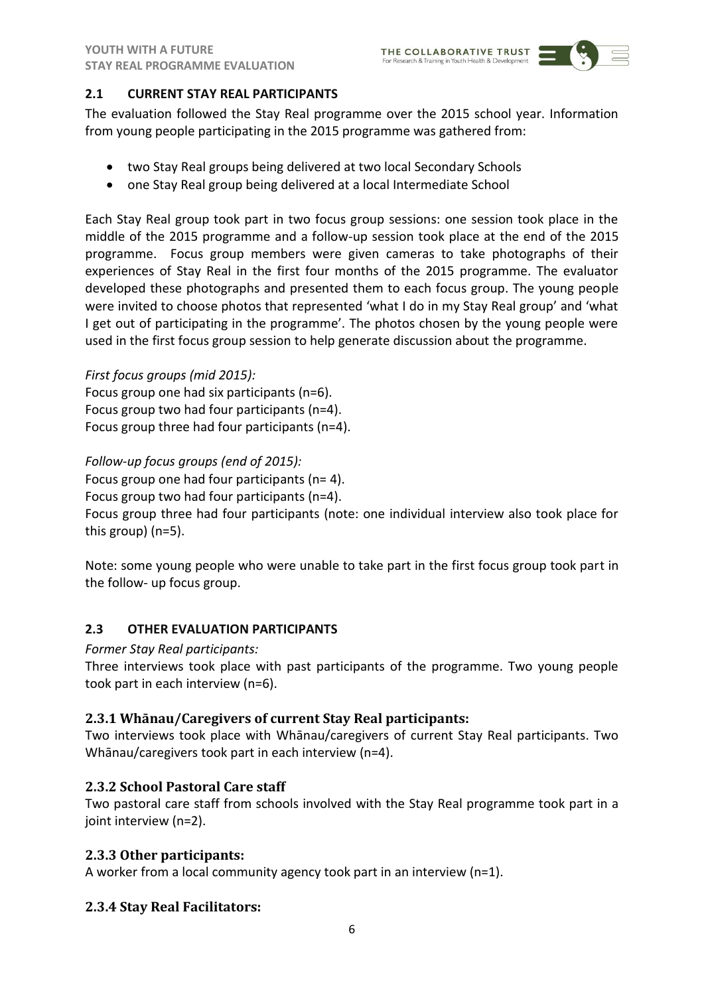

# <span id="page-6-0"></span>**2.1 CURRENT STAY REAL PARTICIPANTS**

The evaluation followed the Stay Real programme over the 2015 school year. Information from young people participating in the 2015 programme was gathered from:

- two Stay Real groups being delivered at two local Secondary Schools
- one Stay Real group being delivered at a local Intermediate School

Each Stay Real group took part in two focus group sessions: one session took place in the middle of the 2015 programme and a follow-up session took place at the end of the 2015 programme. Focus group members were given cameras to take photographs of their experiences of Stay Real in the first four months of the 2015 programme. The evaluator developed these photographs and presented them to each focus group. The young people were invited to choose photos that represented 'what I do in my Stay Real group' and 'what I get out of participating in the programme'. The photos chosen by the young people were used in the first focus group session to help generate discussion about the programme.

# *First focus groups (mid 2015):*

Focus group one had six participants (n=6). Focus group two had four participants (n=4). Focus group three had four participants (n=4).

*Follow-up focus groups (end of 2015):*

Focus group one had four participants (n= 4).

Focus group two had four participants (n=4).

Focus group three had four participants (note: one individual interview also took place for this group) (n=5).

Note: some young people who were unable to take part in the first focus group took part in the follow- up focus group.

## <span id="page-6-1"></span>**2.3 OTHER EVALUATION PARTICIPANTS**

## *Former Stay Real participants:*

Three interviews took place with past participants of the programme. Two young people took part in each interview (n=6).

## **2.3.1 Whānau/Caregivers of current Stay Real participants:**

Two interviews took place with Whānau/caregivers of current Stay Real participants. Two Whānau/caregivers took part in each interview (n=4).

## **2.3.2 School Pastoral Care staff**

Two pastoral care staff from schools involved with the Stay Real programme took part in a joint interview (n=2).

## **2.3.3 Other participants:**

A worker from a local community agency took part in an interview (n=1).

## **2.3.4 Stay Real Facilitators:**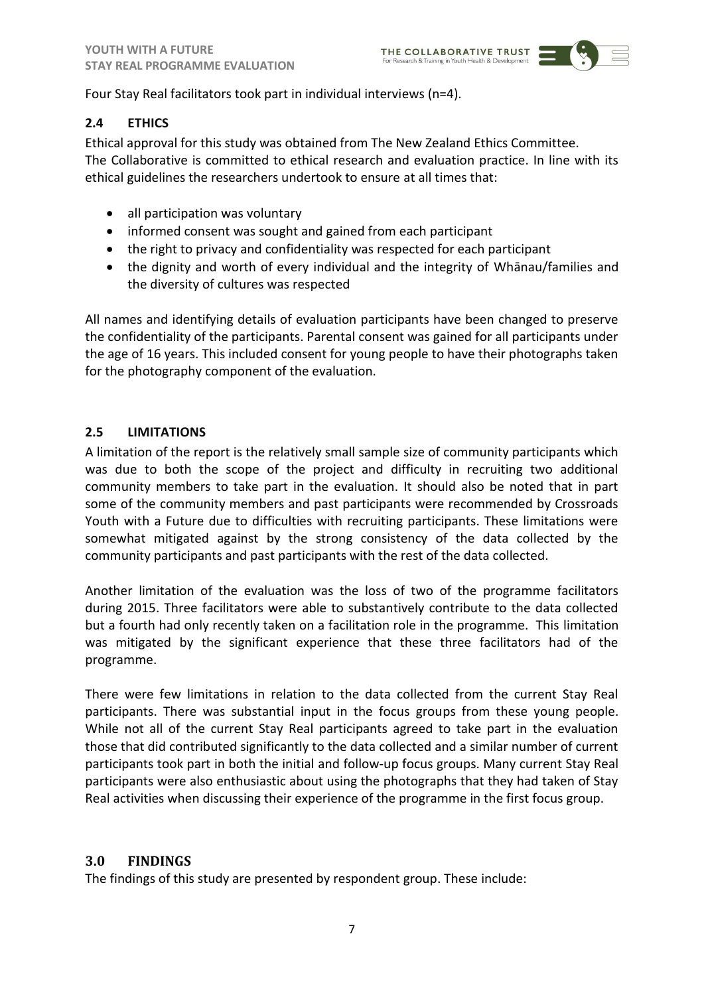

Four Stay Real facilitators took part in individual interviews (n=4).

## <span id="page-7-0"></span>**2.4 ETHICS**

Ethical approval for this study was obtained from The New Zealand Ethics Committee. The Collaborative is committed to ethical research and evaluation practice. In line with its ethical guidelines the researchers undertook to ensure at all times that:

- all participation was voluntary
- informed consent was sought and gained from each participant
- the right to privacy and confidentiality was respected for each participant
- the dignity and worth of every individual and the integrity of Whānau/families and the diversity of cultures was respected

All names and identifying details of evaluation participants have been changed to preserve the confidentiality of the participants. Parental consent was gained for all participants under the age of 16 years. This included consent for young people to have their photographs taken for the photography component of the evaluation.

#### <span id="page-7-1"></span>**2.5 LIMITATIONS**

A limitation of the report is the relatively small sample size of community participants which was due to both the scope of the project and difficulty in recruiting two additional community members to take part in the evaluation. It should also be noted that in part some of the community members and past participants were recommended by Crossroads Youth with a Future due to difficulties with recruiting participants. These limitations were somewhat mitigated against by the strong consistency of the data collected by the community participants and past participants with the rest of the data collected.

Another limitation of the evaluation was the loss of two of the programme facilitators during 2015. Three facilitators were able to substantively contribute to the data collected but a fourth had only recently taken on a facilitation role in the programme. This limitation was mitigated by the significant experience that these three facilitators had of the programme.

There were few limitations in relation to the data collected from the current Stay Real participants. There was substantial input in the focus groups from these young people. While not all of the current Stay Real participants agreed to take part in the evaluation those that did contributed significantly to the data collected and a similar number of current participants took part in both the initial and follow-up focus groups. Many current Stay Real participants were also enthusiastic about using the photographs that they had taken of Stay Real activities when discussing their experience of the programme in the first focus group.

## <span id="page-7-2"></span>**3.0 FINDINGS**

The findings of this study are presented by respondent group. These include: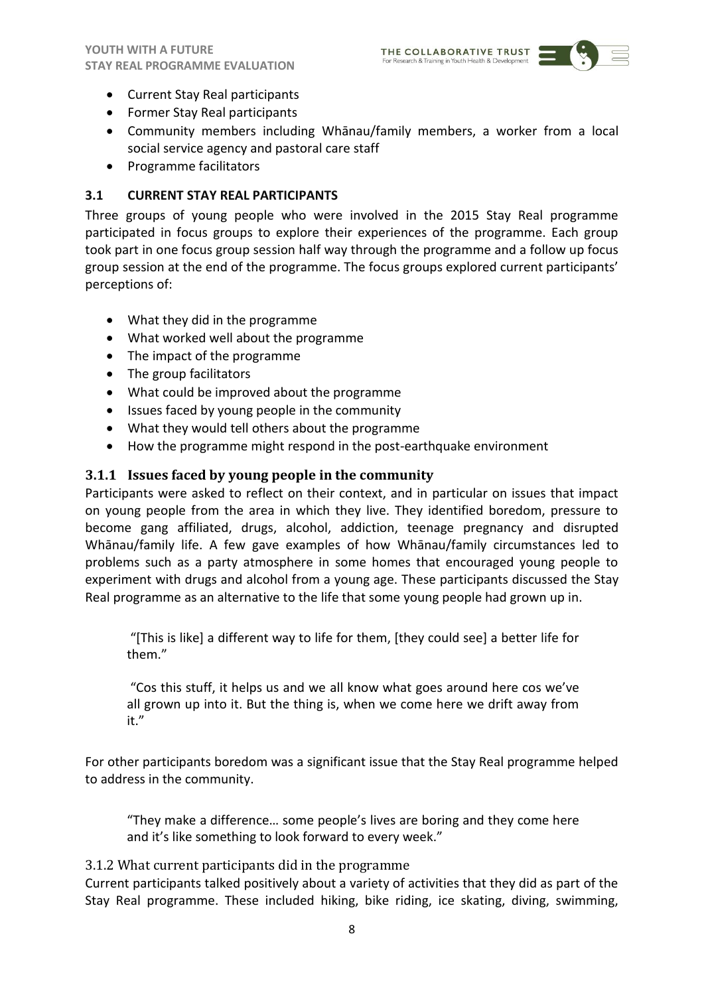

- Current Stay Real participants
- Former Stay Real participants
- Community members including Whānau/family members, a worker from a local social service agency and pastoral care staff
- Programme facilitators

# <span id="page-8-0"></span>**3.1 CURRENT STAY REAL PARTICIPANTS**

Three groups of young people who were involved in the 2015 Stay Real programme participated in focus groups to explore their experiences of the programme. Each group took part in one focus group session half way through the programme and a follow up focus group session at the end of the programme. The focus groups explored current participants' perceptions of:

- What they did in the programme
- What worked well about the programme
- The impact of the programme
- The group facilitators
- What could be improved about the programme
- Issues faced by young people in the community
- What they would tell others about the programme
- How the programme might respond in the post-earthquake environment

# <span id="page-8-1"></span>**3.1.1 Issues faced by young people in the community**

Participants were asked to reflect on their context, and in particular on issues that impact on young people from the area in which they live. They identified boredom, pressure to become gang affiliated, drugs, alcohol, addiction, teenage pregnancy and disrupted Whānau/family life. A few gave examples of how Whānau/family circumstances led to problems such as a party atmosphere in some homes that encouraged young people to experiment with drugs and alcohol from a young age. These participants discussed the Stay Real programme as an alternative to the life that some young people had grown up in.

"[This is like] a different way to life for them, [they could see] a better life for them."

"Cos this stuff, it helps us and we all know what goes around here cos we've all grown up into it. But the thing is, when we come here we drift away from it."

For other participants boredom was a significant issue that the Stay Real programme helped to address in the community.

"They make a difference… some people's lives are boring and they come here and it's like something to look forward to every week."

## <span id="page-8-2"></span>3.1.2 What current participants did in the programme

Current participants talked positively about a variety of activities that they did as part of the Stay Real programme. These included hiking, bike riding, ice skating, diving, swimming,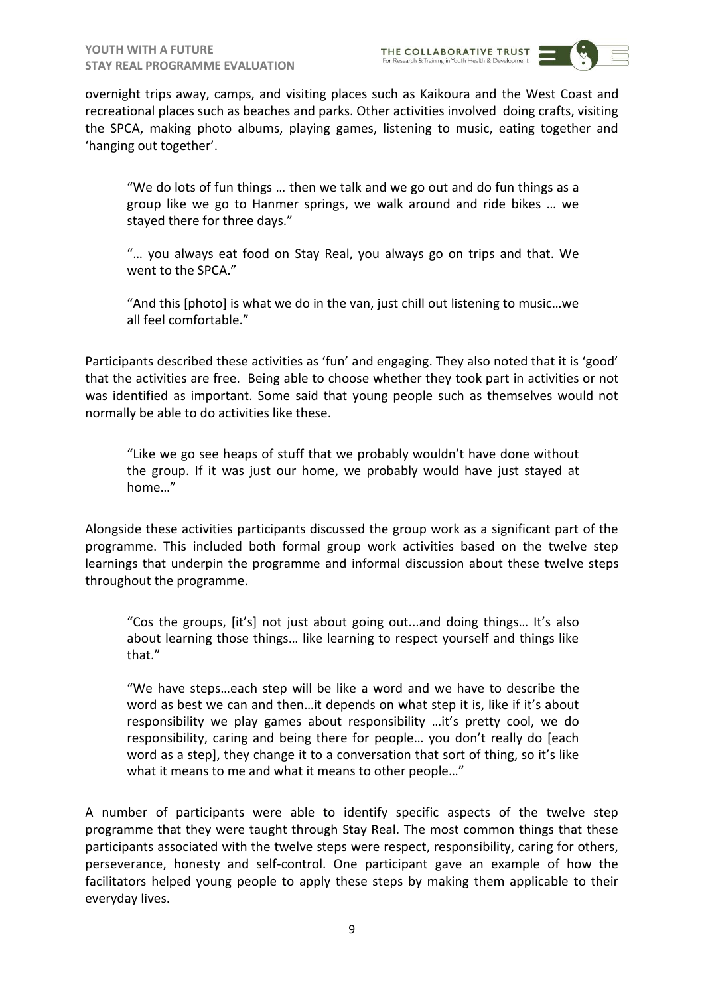

overnight trips away, camps, and visiting places such as Kaikoura and the West Coast and recreational places such as beaches and parks. Other activities involved doing crafts, visiting the SPCA, making photo albums, playing games, listening to music, eating together and 'hanging out together'.

"We do lots of fun things … then we talk and we go out and do fun things as a group like we go to Hanmer springs, we walk around and ride bikes … we stayed there for three days."

"… you always eat food on Stay Real, you always go on trips and that. We went to the SPCA."

"And this [photo] is what we do in the van, just chill out listening to music…we all feel comfortable."

Participants described these activities as 'fun' and engaging. They also noted that it is 'good' that the activities are free. Being able to choose whether they took part in activities or not was identified as important. Some said that young people such as themselves would not normally be able to do activities like these.

"Like we go see heaps of stuff that we probably wouldn't have done without the group. If it was just our home, we probably would have just stayed at home…"

Alongside these activities participants discussed the group work as a significant part of the programme. This included both formal group work activities based on the twelve step learnings that underpin the programme and informal discussion about these twelve steps throughout the programme.

"Cos the groups, [it's] not just about going out...and doing things… It's also about learning those things… like learning to respect yourself and things like that."

"We have steps…each step will be like a word and we have to describe the word as best we can and then…it depends on what step it is, like if it's about responsibility we play games about responsibility …it's pretty cool, we do responsibility, caring and being there for people… you don't really do [each word as a step], they change it to a conversation that sort of thing, so it's like what it means to me and what it means to other people..."

A number of participants were able to identify specific aspects of the twelve step programme that they were taught through Stay Real. The most common things that these participants associated with the twelve steps were respect, responsibility, caring for others, perseverance, honesty and self-control. One participant gave an example of how the facilitators helped young people to apply these steps by making them applicable to their everyday lives.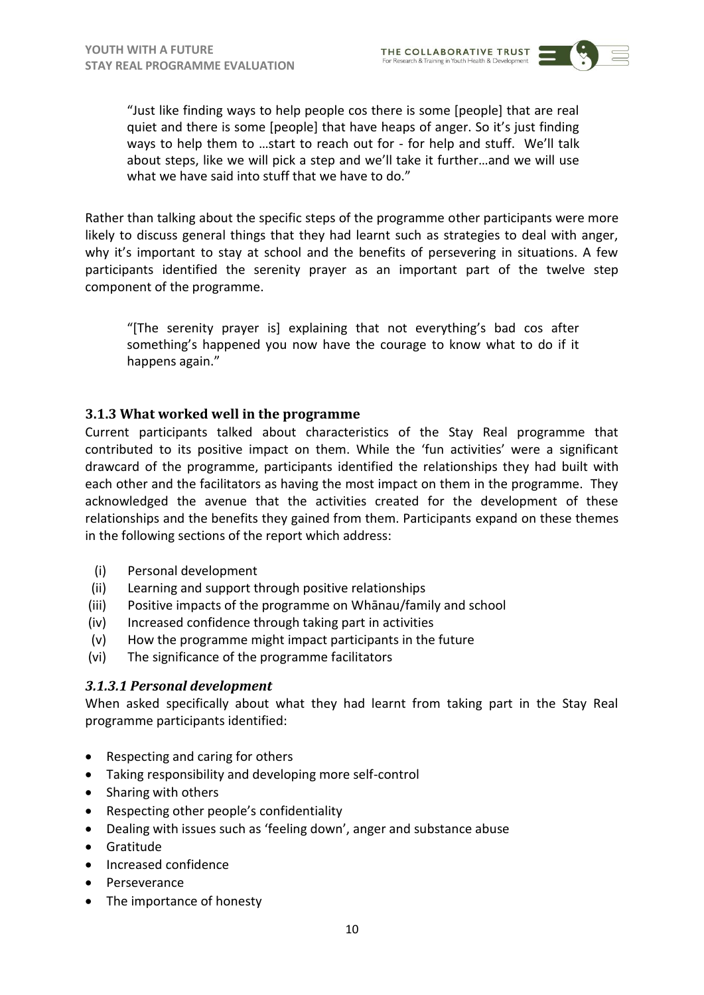

Rather than talking about the specific steps of the programme other participants were more likely to discuss general things that they had learnt such as strategies to deal with anger, why it's important to stay at school and the benefits of persevering in situations. A few participants identified the serenity prayer as an important part of the twelve step component of the programme.

"[The serenity prayer is] explaining that not everything's bad cos after something's happened you now have the courage to know what to do if it happens again."

## <span id="page-10-0"></span>**3.1.3 What worked well in the programme**

Current participants talked about characteristics of the Stay Real programme that contributed to its positive impact on them. While the 'fun activities' were a significant drawcard of the programme, participants identified the relationships they had built with each other and the facilitators as having the most impact on them in the programme. They acknowledged the avenue that the activities created for the development of these relationships and the benefits they gained from them. Participants expand on these themes in the following sections of the report which address:

- (i) Personal development
- (ii) Learning and support through positive relationships
- (iii) Positive impacts of the programme on Whānau/family and school
- (iv) Increased confidence through taking part in activities
- (v) How the programme might impact participants in the future
- (vi) The significance of the programme facilitators

#### *3.1.3.1 Personal development*

When asked specifically about what they had learnt from taking part in the Stay Real programme participants identified:

- Respecting and caring for others
- Taking responsibility and developing more self-control
- Sharing with others
- Respecting other people's confidentiality
- Dealing with issues such as 'feeling down', anger and substance abuse
- **•** Gratitude
- Increased confidence
- Perseverance
- The importance of honesty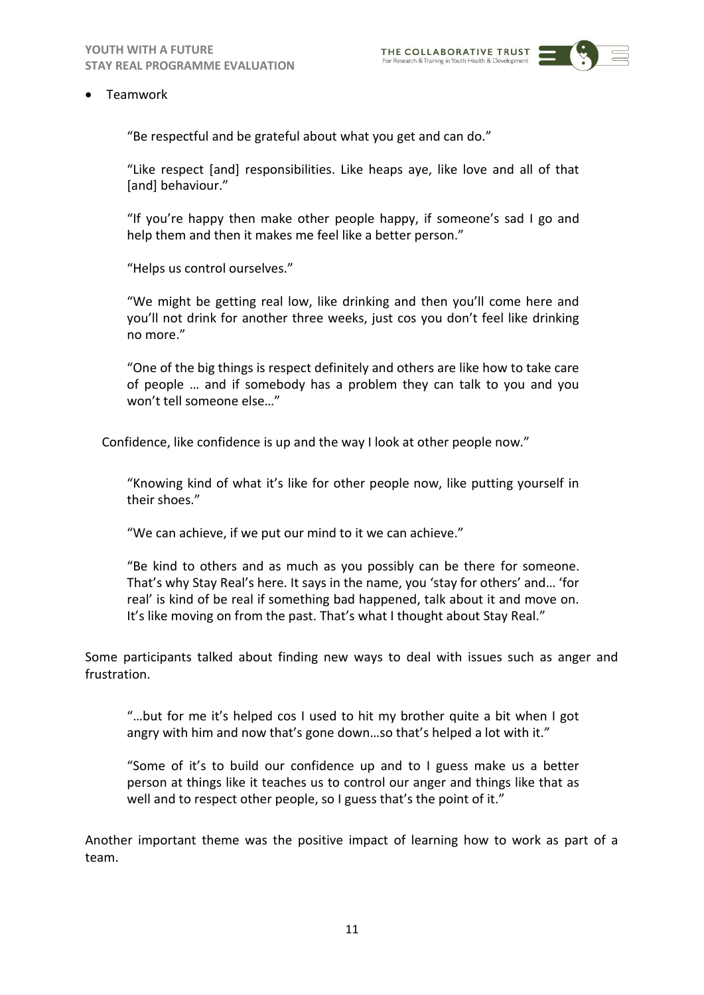THE COLLABORATIVE TRUST



Teamwork

"Be respectful and be grateful about what you get and can do."

"Like respect [and] responsibilities. Like heaps aye, like love and all of that [and] behaviour."

"If you're happy then make other people happy, if someone's sad I go and help them and then it makes me feel like a better person."

"Helps us control ourselves."

"We might be getting real low, like drinking and then you'll come here and you'll not drink for another three weeks, just cos you don't feel like drinking no more."

"One of the big things is respect definitely and others are like how to take care of people … and if somebody has a problem they can talk to you and you won't tell someone else…"

Confidence, like confidence is up and the way I look at other people now."

"Knowing kind of what it's like for other people now, like putting yourself in their shoes."

"We can achieve, if we put our mind to it we can achieve."

"Be kind to others and as much as you possibly can be there for someone. That's why Stay Real's here. It says in the name, you 'stay for others' and… 'for real' is kind of be real if something bad happened, talk about it and move on. It's like moving on from the past. That's what I thought about Stay Real."

Some participants talked about finding new ways to deal with issues such as anger and frustration.

"…but for me it's helped cos I used to hit my brother quite a bit when I got angry with him and now that's gone down…so that's helped a lot with it."

"Some of it's to build our confidence up and to I guess make us a better person at things like it teaches us to control our anger and things like that as well and to respect other people, so I guess that's the point of it."

Another important theme was the positive impact of learning how to work as part of a team.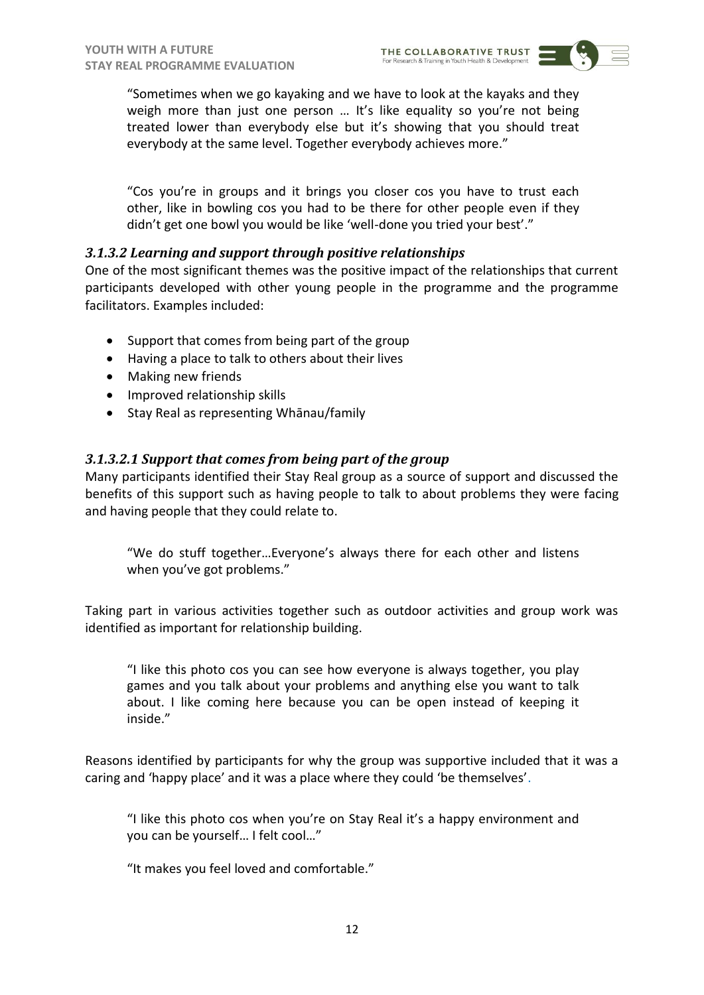"Sometimes when we go kayaking and we have to look at the kayaks and they weigh more than just one person … It's like equality so you're not being treated lower than everybody else but it's showing that you should treat everybody at the same level. Together everybody achieves more."

"Cos you're in groups and it brings you closer cos you have to trust each other, like in bowling cos you had to be there for other people even if they didn't get one bowl you would be like 'well-done you tried your best'."

# *3.1.3.2 Learning and support through positive relationships*

One of the most significant themes was the positive impact of the relationships that current participants developed with other young people in the programme and the programme facilitators. Examples included:

- Support that comes from being part of the group
- Having a place to talk to others about their lives
- Making new friends
- Improved relationship skills
- Stay Real as representing Whānau/family

## *3.1.3.2.1 Support that comes from being part of the group*

Many participants identified their Stay Real group as a source of support and discussed the benefits of this support such as having people to talk to about problems they were facing and having people that they could relate to.

"We do stuff together…Everyone's always there for each other and listens when you've got problems."

Taking part in various activities together such as outdoor activities and group work was identified as important for relationship building.

"I like this photo cos you can see how everyone is always together, you play games and you talk about your problems and anything else you want to talk about. I like coming here because you can be open instead of keeping it inside."

Reasons identified by participants for why the group was supportive included that it was a caring and 'happy place' and it was a place where they could 'be themselves'.

"I like this photo cos when you're on Stay Real it's a happy environment and you can be yourself… I felt cool…"

"It makes you feel loved and comfortable."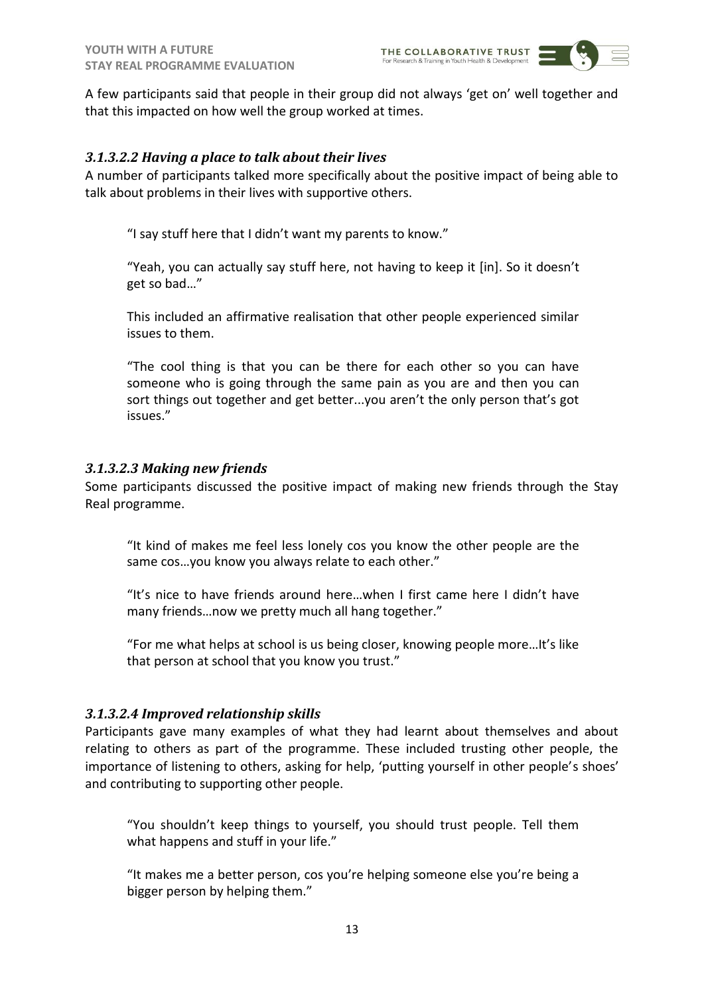

## *3.1.3.2.2 Having a place to talk about their lives*

A number of participants talked more specifically about the positive impact of being able to talk about problems in their lives with supportive others.

"I say stuff here that I didn't want my parents to know."

"Yeah, you can actually say stuff here, not having to keep it [in]. So it doesn't get so bad…"

This included an affirmative realisation that other people experienced similar issues to them.

"The cool thing is that you can be there for each other so you can have someone who is going through the same pain as you are and then you can sort things out together and get better...you aren't the only person that's got issues."

## *3.1.3.2.3 Making new friends*

Some participants discussed the positive impact of making new friends through the Stay Real programme.

"It kind of makes me feel less lonely cos you know the other people are the same cos…you know you always relate to each other."

"It's nice to have friends around here…when I first came here I didn't have many friends…now we pretty much all hang together."

"For me what helps at school is us being closer, knowing people more…It's like that person at school that you know you trust."

## *3.1.3.2.4 Improved relationship skills*

Participants gave many examples of what they had learnt about themselves and about relating to others as part of the programme. These included trusting other people, the importance of listening to others, asking for help, 'putting yourself in other people's shoes' and contributing to supporting other people.

"You shouldn't keep things to yourself, you should trust people. Tell them what happens and stuff in your life."

"It makes me a better person, cos you're helping someone else you're being a bigger person by helping them."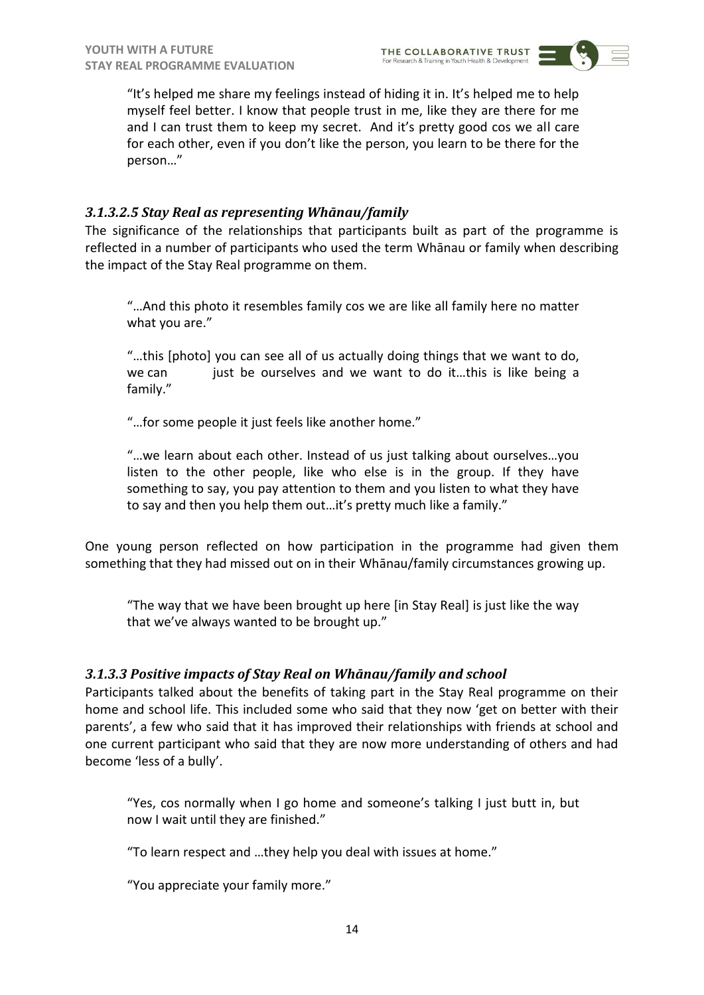

"It's helped me share my feelings instead of hiding it in. It's helped me to help myself feel better. I know that people trust in me, like they are there for me and I can trust them to keep my secret. And it's pretty good cos we all care for each other, even if you don't like the person, you learn to be there for the person…"

# *3.1.3.2.5 Stay Real as representing Whānau/family*

The significance of the relationships that participants built as part of the programme is reflected in a number of participants who used the term Whānau or family when describing the impact of the Stay Real programme on them.

"…And this photo it resembles family cos we are like all family here no matter what you are."

"…this [photo] you can see all of us actually doing things that we want to do, we can just be ourselves and we want to do it...this is like being a family."

"…for some people it just feels like another home."

"…we learn about each other. Instead of us just talking about ourselves…you listen to the other people, like who else is in the group. If they have something to say, you pay attention to them and you listen to what they have to say and then you help them out...it's pretty much like a family."

One young person reflected on how participation in the programme had given them something that they had missed out on in their Whānau/family circumstances growing up.

"The way that we have been brought up here [in Stay Real] is just like the way that we've always wanted to be brought up."

## *3.1.3.3 Positive impacts of Stay Real on Whānau/family and school*

Participants talked about the benefits of taking part in the Stay Real programme on their home and school life. This included some who said that they now 'get on better with their parents', a few who said that it has improved their relationships with friends at school and one current participant who said that they are now more understanding of others and had become 'less of a bully'.

"Yes, cos normally when I go home and someone's talking I just butt in, but now I wait until they are finished."

"To learn respect and …they help you deal with issues at home."

"You appreciate your family more."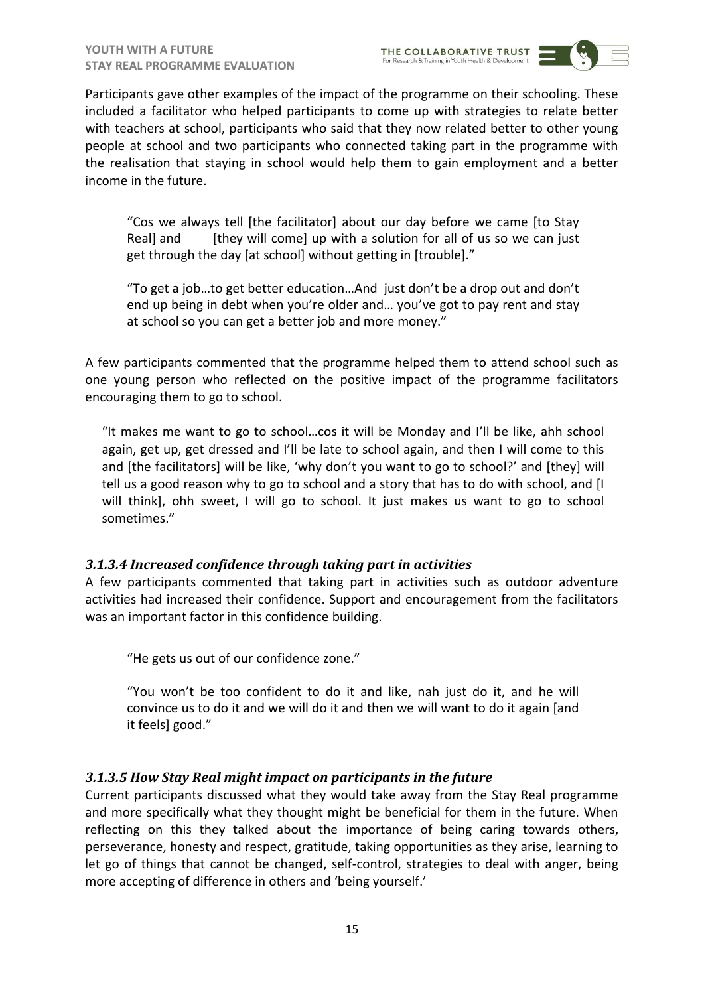

Participants gave other examples of the impact of the programme on their schooling. These included a facilitator who helped participants to come up with strategies to relate better with teachers at school, participants who said that they now related better to other young people at school and two participants who connected taking part in the programme with the realisation that staying in school would help them to gain employment and a better income in the future.

"Cos we always tell [the facilitator] about our day before we came [to Stay Real] and [they will come] up with a solution for all of us so we can just get through the day [at school] without getting in [trouble]."

"To get a job…to get better education…And just don't be a drop out and don't end up being in debt when you're older and… you've got to pay rent and stay at school so you can get a better job and more money."

A few participants commented that the programme helped them to attend school such as one young person who reflected on the positive impact of the programme facilitators encouraging them to go to school.

"It makes me want to go to school…cos it will be Monday and I'll be like, ahh school again, get up, get dressed and I'll be late to school again, and then I will come to this and [the facilitators] will be like, 'why don't you want to go to school?' and [they] will tell us a good reason why to go to school and a story that has to do with school, and [I will think], ohh sweet, I will go to school. It just makes us want to go to school sometimes."

## *3.1.3.4 Increased confidence through taking part in activities*

A few participants commented that taking part in activities such as outdoor adventure activities had increased their confidence. Support and encouragement from the facilitators was an important factor in this confidence building.

"He gets us out of our confidence zone."

"You won't be too confident to do it and like, nah just do it, and he will convince us to do it and we will do it and then we will want to do it again [and it feels] good."

# *3.1.3.5 How Stay Real might impact on participants in the future*

Current participants discussed what they would take away from the Stay Real programme and more specifically what they thought might be beneficial for them in the future. When reflecting on this they talked about the importance of being caring towards others, perseverance, honesty and respect, gratitude, taking opportunities as they arise, learning to let go of things that cannot be changed, self-control, strategies to deal with anger, being more accepting of difference in others and 'being yourself.'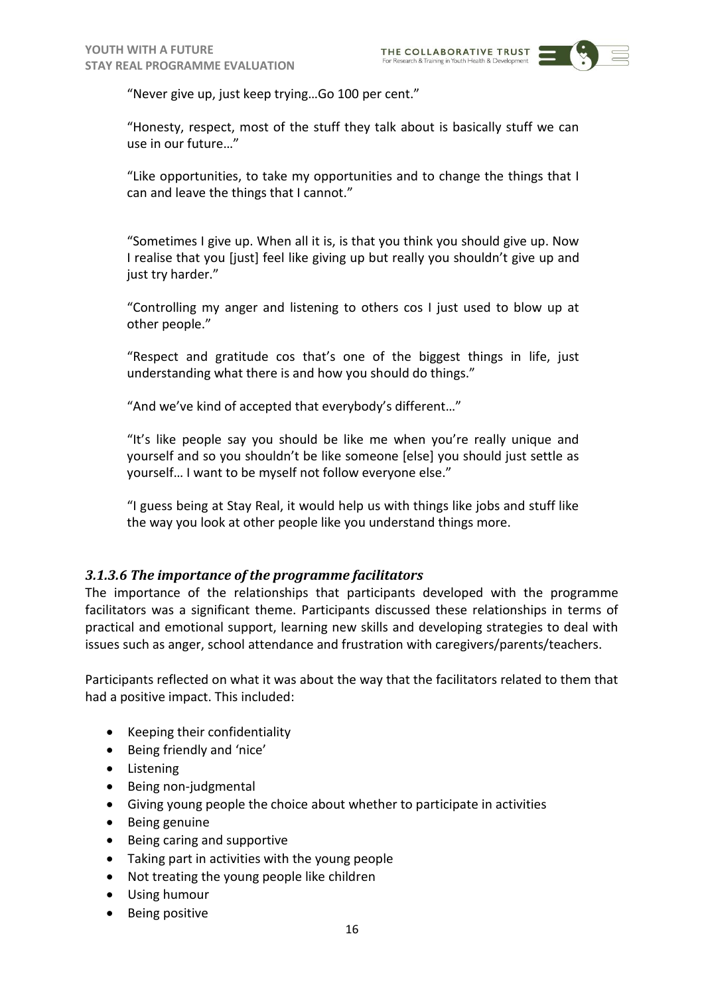"Never give up, just keep trying…Go 100 per cent."

"Honesty, respect, most of the stuff they talk about is basically stuff we can use in our future…"

"Like opportunities, to take my opportunities and to change the things that I can and leave the things that I cannot."

"Sometimes I give up. When all it is, is that you think you should give up. Now I realise that you [just] feel like giving up but really you shouldn't give up and just try harder."

"Controlling my anger and listening to others cos I just used to blow up at other people."

"Respect and gratitude cos that's one of the biggest things in life, just understanding what there is and how you should do things."

"And we've kind of accepted that everybody's different…"

"It's like people say you should be like me when you're really unique and yourself and so you shouldn't be like someone [else] you should just settle as yourself… I want to be myself not follow everyone else."

"I guess being at Stay Real, it would help us with things like jobs and stuff like the way you look at other people like you understand things more.

#### *3.1.3.6 The importance of the programme facilitators*

The importance of the relationships that participants developed with the programme facilitators was a significant theme. Participants discussed these relationships in terms of practical and emotional support, learning new skills and developing strategies to deal with issues such as anger, school attendance and frustration with caregivers/parents/teachers.

Participants reflected on what it was about the way that the facilitators related to them that had a positive impact. This included:

- Keeping their confidentiality
- Being friendly and 'nice'
- Listening
- Being non-judgmental
- Giving young people the choice about whether to participate in activities
- Being genuine
- Being caring and supportive
- Taking part in activities with the young people
- Not treating the young people like children
- Using humour
- Being positive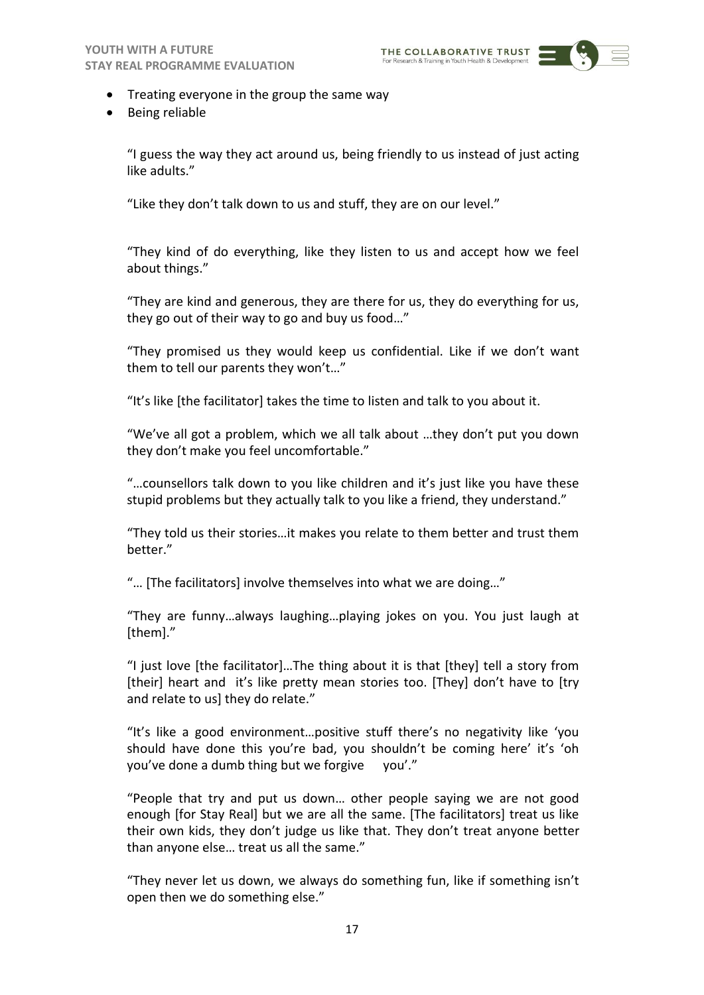

- Treating everyone in the group the same way
- Being reliable

"I guess the way they act around us, being friendly to us instead of just acting like adults."

"Like they don't talk down to us and stuff, they are on our level."

"They kind of do everything, like they listen to us and accept how we feel about things."

"They are kind and generous, they are there for us, they do everything for us, they go out of their way to go and buy us food…"

"They promised us they would keep us confidential. Like if we don't want them to tell our parents they won't…"

"It's like [the facilitator] takes the time to listen and talk to you about it.

"We've all got a problem, which we all talk about …they don't put you down they don't make you feel uncomfortable."

"…counsellors talk down to you like children and it's just like you have these stupid problems but they actually talk to you like a friend, they understand."

"They told us their stories…it makes you relate to them better and trust them better."

"… [The facilitators] involve themselves into what we are doing…"

"They are funny…always laughing…playing jokes on you. You just laugh at [them]."

"I just love [the facilitator]…The thing about it is that [they] tell a story from [their] heart and it's like pretty mean stories too. [They] don't have to [try and relate to us] they do relate."

"It's like a good environment…positive stuff there's no negativity like 'you should have done this you're bad, you shouldn't be coming here' it's 'oh you've done a dumb thing but we forgive you'."

"People that try and put us down… other people saying we are not good enough [for Stay Real] but we are all the same. [The facilitators] treat us like their own kids, they don't judge us like that. They don't treat anyone better than anyone else… treat us all the same."

"They never let us down, we always do something fun, like if something isn't open then we do something else."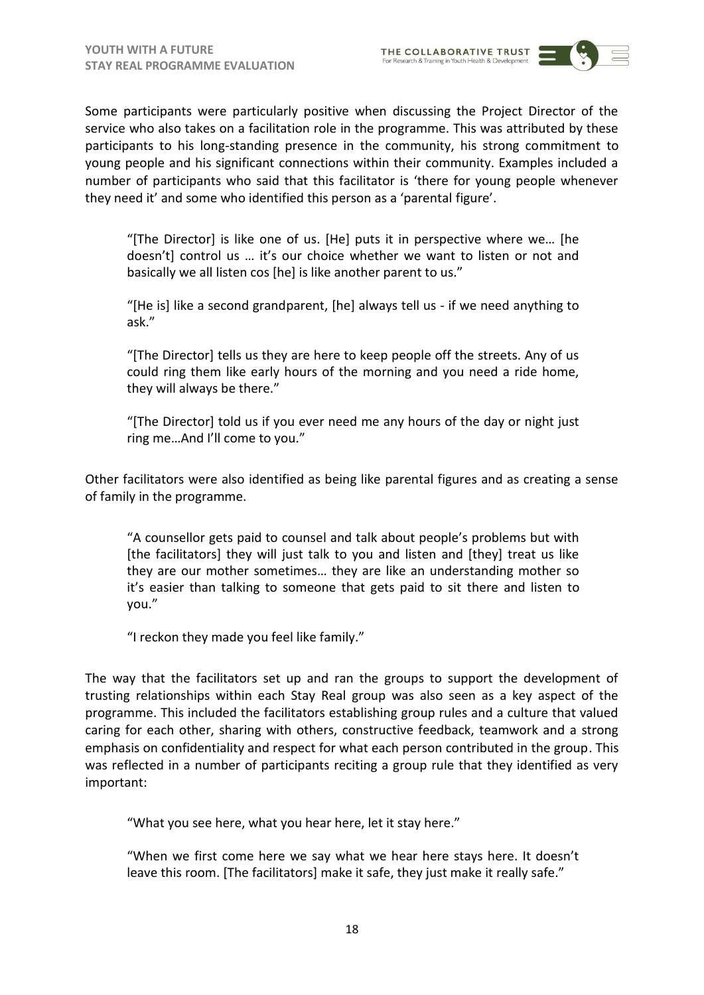

Some participants were particularly positive when discussing the Project Director of the service who also takes on a facilitation role in the programme. This was attributed by these participants to his long-standing presence in the community, his strong commitment to young people and his significant connections within their community. Examples included a number of participants who said that this facilitator is 'there for young people whenever they need it' and some who identified this person as a 'parental figure'.

"[The Director] is like one of us. [He] puts it in perspective where we… [he doesn't] control us … it's our choice whether we want to listen or not and basically we all listen cos [he] is like another parent to us."

"[He is] like a second grandparent, [he] always tell us - if we need anything to ask."

"[The Director] tells us they are here to keep people off the streets. Any of us could ring them like early hours of the morning and you need a ride home, they will always be there."

"[The Director] told us if you ever need me any hours of the day or night just ring me…And I'll come to you."

Other facilitators were also identified as being like parental figures and as creating a sense of family in the programme.

"A counsellor gets paid to counsel and talk about people's problems but with [the facilitators] they will just talk to you and listen and [they] treat us like they are our mother sometimes… they are like an understanding mother so it's easier than talking to someone that gets paid to sit there and listen to you."

"I reckon they made you feel like family."

The way that the facilitators set up and ran the groups to support the development of trusting relationships within each Stay Real group was also seen as a key aspect of the programme. This included the facilitators establishing group rules and a culture that valued caring for each other, sharing with others, constructive feedback, teamwork and a strong emphasis on confidentiality and respect for what each person contributed in the group. This was reflected in a number of participants reciting a group rule that they identified as very important:

"What you see here, what you hear here, let it stay here."

"When we first come here we say what we hear here stays here. It doesn't leave this room. [The facilitators] make it safe, they just make it really safe."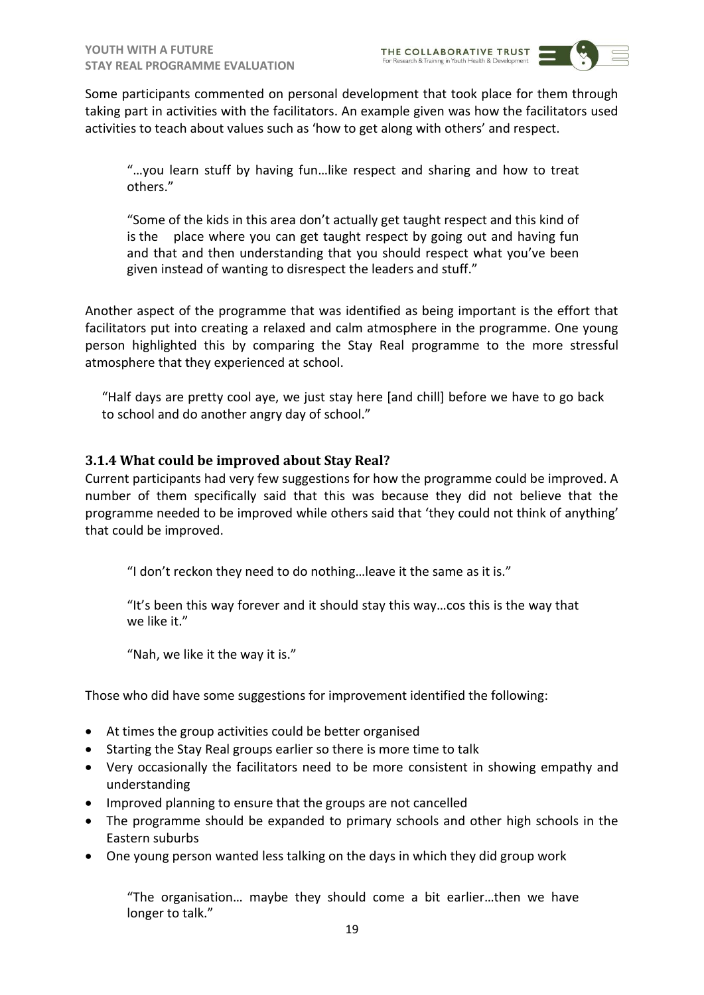

"…you learn stuff by having fun…like respect and sharing and how to treat others."

"Some of the kids in this area don't actually get taught respect and this kind of is the place where you can get taught respect by going out and having fun and that and then understanding that you should respect what you've been given instead of wanting to disrespect the leaders and stuff."

Another aspect of the programme that was identified as being important is the effort that facilitators put into creating a relaxed and calm atmosphere in the programme. One young person highlighted this by comparing the Stay Real programme to the more stressful atmosphere that they experienced at school.

"Half days are pretty cool aye, we just stay here [and chill] before we have to go back to school and do another angry day of school."

# <span id="page-19-0"></span>**3.1.4 What could be improved about Stay Real?**

Current participants had very few suggestions for how the programme could be improved. A number of them specifically said that this was because they did not believe that the programme needed to be improved while others said that 'they could not think of anything' that could be improved.

"I don't reckon they need to do nothing…leave it the same as it is."

"It's been this way forever and it should stay this way…cos this is the way that we like it."

"Nah, we like it the way it is."

Those who did have some suggestions for improvement identified the following:

- At times the group activities could be better organised
- Starting the Stay Real groups earlier so there is more time to talk
- Very occasionally the facilitators need to be more consistent in showing empathy and understanding
- Improved planning to ensure that the groups are not cancelled
- The programme should be expanded to primary schools and other high schools in the Eastern suburbs
- One young person wanted less talking on the days in which they did group work

"The organisation… maybe they should come a bit earlier…then we have longer to talk."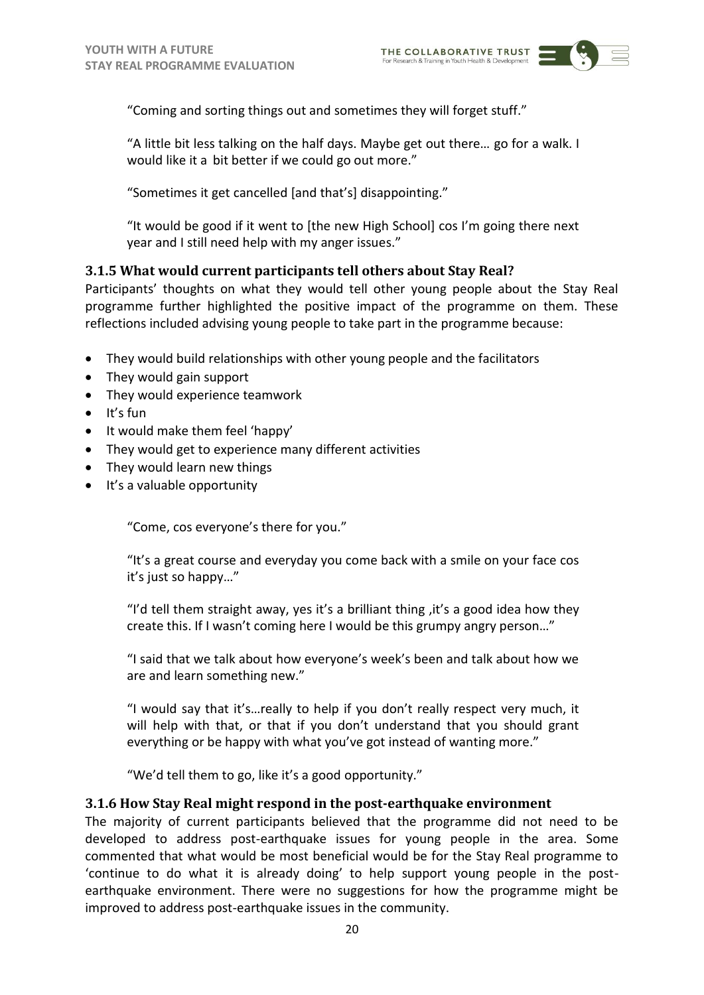

"A little bit less talking on the half days. Maybe get out there… go for a walk. I would like it a bit better if we could go out more."

"Sometimes it get cancelled [and that's] disappointing."

"It would be good if it went to [the new High School] cos I'm going there next year and I still need help with my anger issues."

## <span id="page-20-0"></span>**3.1.5 What would current participants tell others about Stay Real?**

Participants' thoughts on what they would tell other young people about the Stay Real programme further highlighted the positive impact of the programme on them. These reflections included advising young people to take part in the programme because:

- They would build relationships with other young people and the facilitators
- They would gain support
- They would experience teamwork
- $\bullet$  It's fun
- It would make them feel 'happy'
- They would get to experience many different activities
- They would learn new things
- It's a valuable opportunity

"Come, cos everyone's there for you."

"It's a great course and everyday you come back with a smile on your face cos it's just so happy…"

"I'd tell them straight away, yes it's a brilliant thing  $it's$  a good idea how they create this. If I wasn't coming here I would be this grumpy angry person…"

"I said that we talk about how everyone's week's been and talk about how we are and learn something new."

"I would say that it's…really to help if you don't really respect very much, it will help with that, or that if you don't understand that you should grant everything or be happy with what you've got instead of wanting more."

"We'd tell them to go, like it's a good opportunity."

#### <span id="page-20-1"></span>**3.1.6 How Stay Real might respond in the post-earthquake environment**

The majority of current participants believed that the programme did not need to be developed to address post-earthquake issues for young people in the area. Some commented that what would be most beneficial would be for the Stay Real programme to 'continue to do what it is already doing' to help support young people in the postearthquake environment. There were no suggestions for how the programme might be improved to address post-earthquake issues in the community.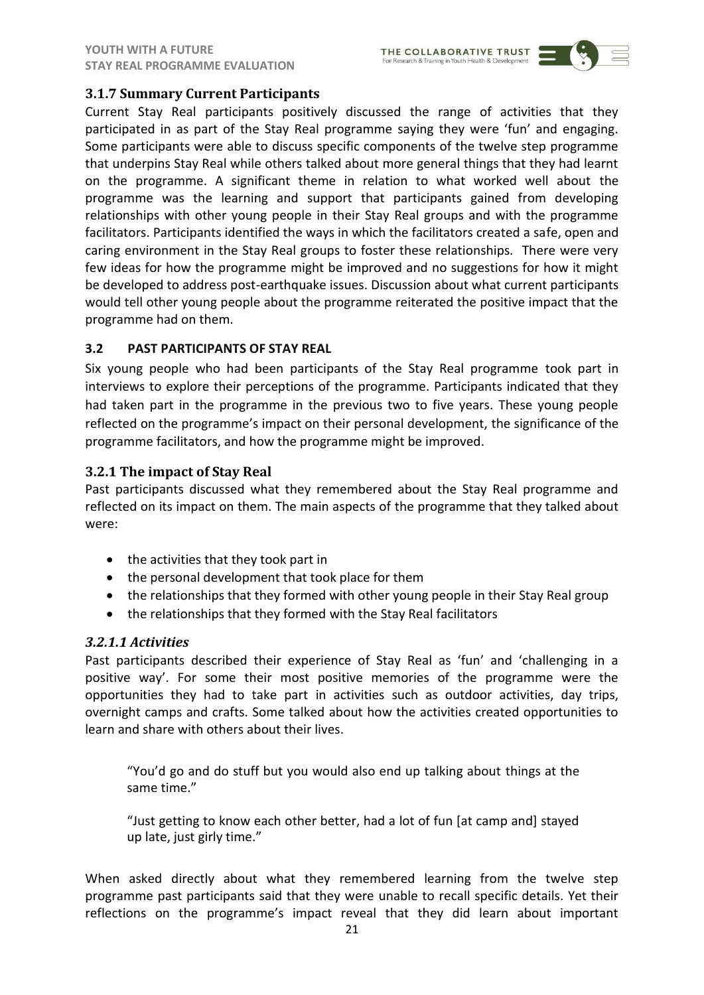

# <span id="page-21-0"></span>**3.1.7 Summary Current Participants**

Current Stay Real participants positively discussed the range of activities that they participated in as part of the Stay Real programme saying they were 'fun' and engaging. Some participants were able to discuss specific components of the twelve step programme that underpins Stay Real while others talked about more general things that they had learnt on the programme. A significant theme in relation to what worked well about the programme was the learning and support that participants gained from developing relationships with other young people in their Stay Real groups and with the programme facilitators. Participants identified the ways in which the facilitators created a safe, open and caring environment in the Stay Real groups to foster these relationships. There were very few ideas for how the programme might be improved and no suggestions for how it might be developed to address post-earthquake issues. Discussion about what current participants would tell other young people about the programme reiterated the positive impact that the programme had on them.

## <span id="page-21-1"></span>**3.2 PAST PARTICIPANTS OF STAY REAL**

Six young people who had been participants of the Stay Real programme took part in interviews to explore their perceptions of the programme. Participants indicated that they had taken part in the programme in the previous two to five years. These young people reflected on the programme's impact on their personal development, the significance of the programme facilitators, and how the programme might be improved.

## <span id="page-21-2"></span>**3.2.1 The impact of Stay Real**

Past participants discussed what they remembered about the Stay Real programme and reflected on its impact on them. The main aspects of the programme that they talked about were:

- the activities that they took part in
- the personal development that took place for them
- the relationships that they formed with other young people in their Stay Real group
- the relationships that they formed with the Stay Real facilitators

## *3.2.1.1 Activities*

Past participants described their experience of Stay Real as 'fun' and 'challenging in a positive way'. For some their most positive memories of the programme were the opportunities they had to take part in activities such as outdoor activities, day trips, overnight camps and crafts. Some talked about how the activities created opportunities to learn and share with others about their lives.

"You'd go and do stuff but you would also end up talking about things at the same time."

"Just getting to know each other better, had a lot of fun [at camp and] stayed up late, just girly time."

When asked directly about what they remembered learning from the twelve step programme past participants said that they were unable to recall specific details. Yet their reflections on the programme's impact reveal that they did learn about important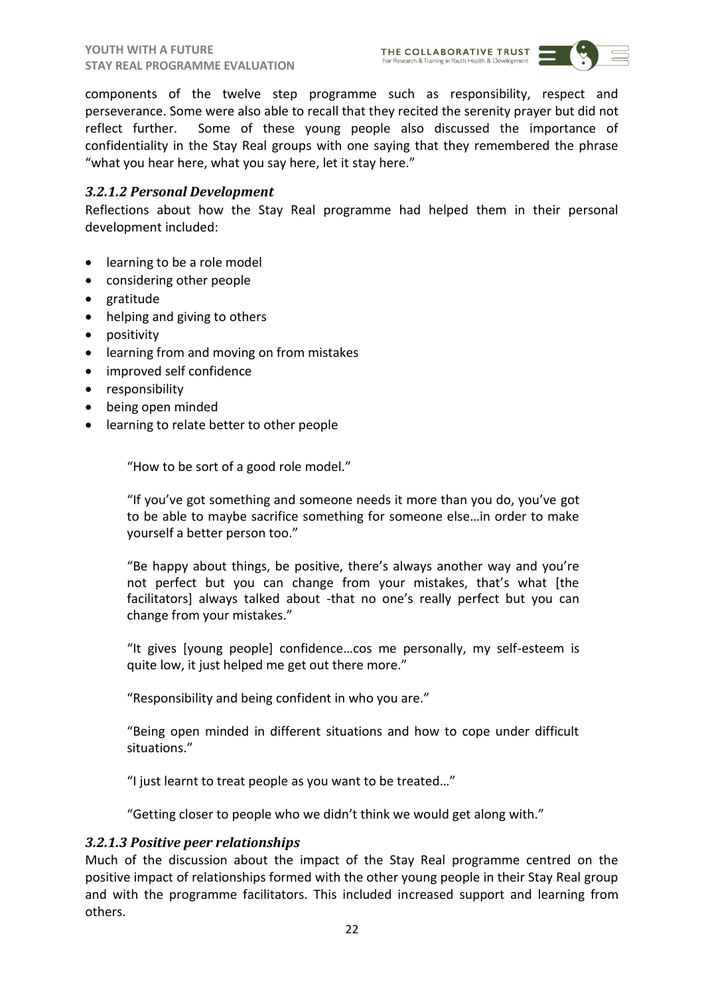

components of the twelve step programme such as responsibility, respect and perseverance. Some were also able to recall that they recited the serenity prayer but did not reflect further. Some of these young people also discussed the importance of confidentiality in the Stay Real groups with one saying that they remembered the phrase "what you hear here, what you say here, let it stay here."

## *3.2.1.2 Personal Development*

Reflections about how the Stay Real programme had helped them in their personal development included:

- learning to be a role model
- considering other people
- gratitude
- helping and giving to others
- positivity
- learning from and moving on from mistakes
- improved self confidence
- responsibility
- being open minded
- learning to relate better to other people

"How to be sort of a good role model."

"If you've got something and someone needs it more than you do, you've got to be able to maybe sacrifice something for someone else…in order to make yourself a better person too."

"Be happy about things, be positive, there's always another way and you're not perfect but you can change from your mistakes, that's what [the facilitators] always talked about -that no one's really perfect but you can change from your mistakes."

"It gives [young people] confidence…cos me personally, my self-esteem is quite low, it just helped me get out there more."

"Responsibility and being confident in who you are."

"Being open minded in different situations and how to cope under difficult situations."

"I just learnt to treat people as you want to be treated…"

"Getting closer to people who we didn't think we would get along with."

## *3.2.1.3 Positive peer relationships*

Much of the discussion about the impact of the Stay Real programme centred on the positive impact of relationships formed with the other young people in their Stay Real group and with the programme facilitators. This included increased support and learning from others.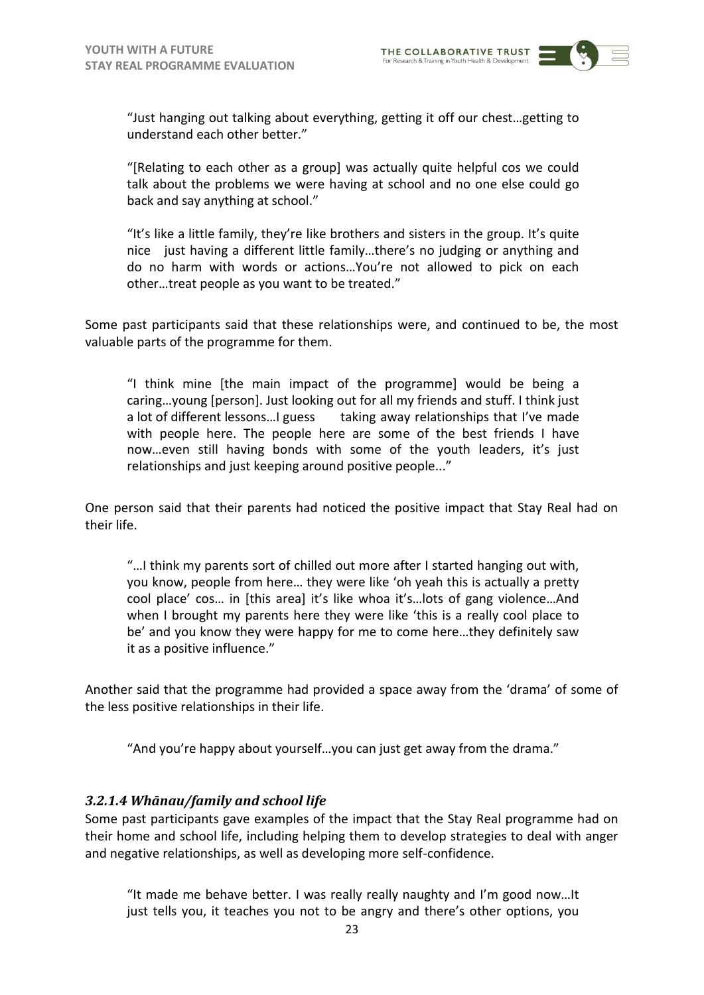THE COLLABORATIVE TRUST For Research & Training in Youth Health & D

"Just hanging out talking about everything, getting it off our chest…getting to understand each other better."

"[Relating to each other as a group] was actually quite helpful cos we could talk about the problems we were having at school and no one else could go back and say anything at school."

"It's like a little family, they're like brothers and sisters in the group. It's quite nice just having a different little family…there's no judging or anything and do no harm with words or actions…You're not allowed to pick on each other…treat people as you want to be treated."

Some past participants said that these relationships were, and continued to be, the most valuable parts of the programme for them.

"I think mine [the main impact of the programme] would be being a caring…young [person]. Just looking out for all my friends and stuff. I think just a lot of different lessons...I guess taking away relationships that I've made with people here. The people here are some of the best friends I have now…even still having bonds with some of the youth leaders, it's just relationships and just keeping around positive people..."

One person said that their parents had noticed the positive impact that Stay Real had on their life.

"…I think my parents sort of chilled out more after I started hanging out with, you know, people from here… they were like 'oh yeah this is actually a pretty cool place' cos… in [this area] it's like whoa it's…lots of gang violence…And when I brought my parents here they were like 'this is a really cool place to be' and you know they were happy for me to come here…they definitely saw it as a positive influence."

Another said that the programme had provided a space away from the 'drama' of some of the less positive relationships in their life.

"And you're happy about yourself…you can just get away from the drama."

## *3.2.1.4 Whānau/family and school life*

Some past participants gave examples of the impact that the Stay Real programme had on their home and school life, including helping them to develop strategies to deal with anger and negative relationships, as well as developing more self-confidence.

"It made me behave better. I was really really naughty and I'm good now…It just tells you, it teaches you not to be angry and there's other options, you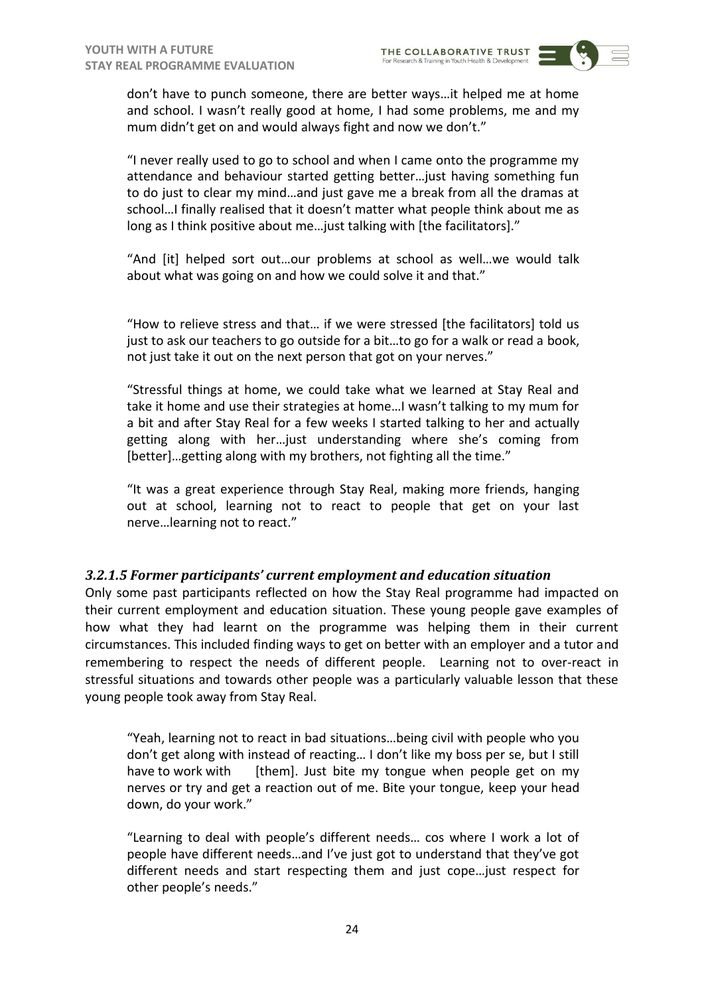don't have to punch someone, there are better ways…it helped me at home and school. I wasn't really good at home, I had some problems, me and my mum didn't get on and would always fight and now we don't."

"I never really used to go to school and when I came onto the programme my attendance and behaviour started getting better…just having something fun to do just to clear my mind…and just gave me a break from all the dramas at school…I finally realised that it doesn't matter what people think about me as long as I think positive about me... just talking with [the facilitators]."

"And [it] helped sort out…our problems at school as well…we would talk about what was going on and how we could solve it and that."

"How to relieve stress and that… if we were stressed [the facilitators] told us just to ask our teachers to go outside for a bit…to go for a walk or read a book, not just take it out on the next person that got on your nerves."

"Stressful things at home, we could take what we learned at Stay Real and take it home and use their strategies at home…I wasn't talking to my mum for a bit and after Stay Real for a few weeks I started talking to her and actually getting along with her…just understanding where she's coming from [better]…getting along with my brothers, not fighting all the time."

"It was a great experience through Stay Real, making more friends, hanging out at school, learning not to react to people that get on your last nerve…learning not to react."

#### *3.2.1.5 Former participants' current employment and education situation*

Only some past participants reflected on how the Stay Real programme had impacted on their current employment and education situation. These young people gave examples of how what they had learnt on the programme was helping them in their current circumstances. This included finding ways to get on better with an employer and a tutor and remembering to respect the needs of different people. Learning not to over-react in stressful situations and towards other people was a particularly valuable lesson that these young people took away from Stay Real.

"Yeah, learning not to react in bad situations…being civil with people who you don't get along with instead of reacting… I don't like my boss per se, but I still have to work with [them]. Just bite my tongue when people get on my nerves or try and get a reaction out of me. Bite your tongue, keep your head down, do your work."

"Learning to deal with people's different needs… cos where I work a lot of people have different needs…and I've just got to understand that they've got different needs and start respecting them and just cope…just respect for other people's needs."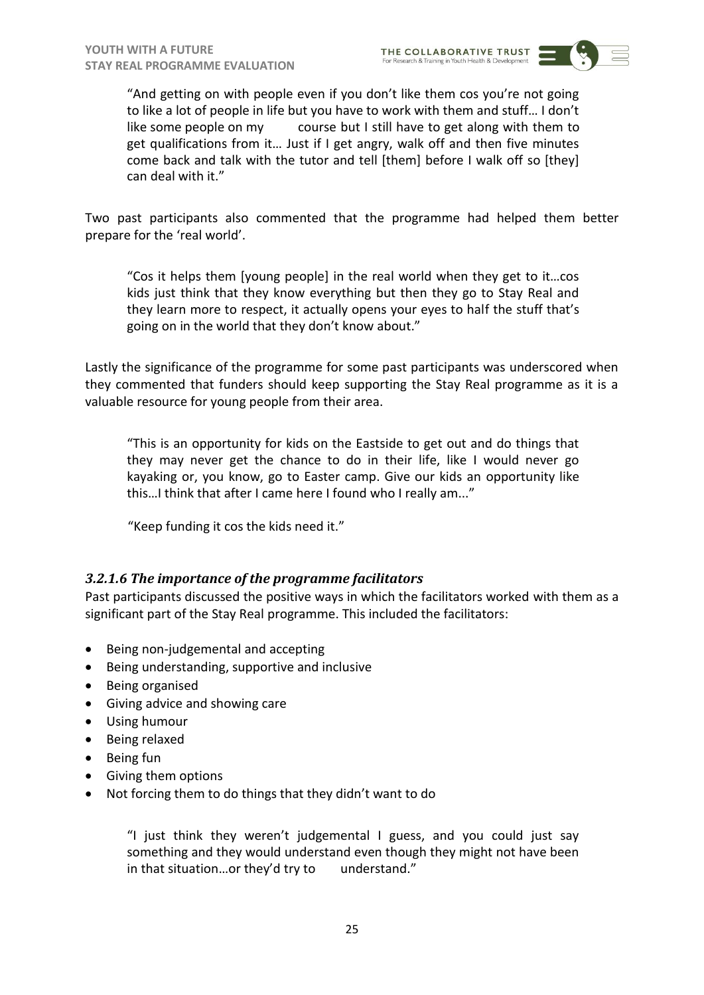"And getting on with people even if you don't like them cos you're not going to like a lot of people in life but you have to work with them and stuff… I don't like some people on my course but I still have to get along with them to get qualifications from it… Just if I get angry, walk off and then five minutes come back and talk with the tutor and tell [them] before I walk off so [they] can deal with it."

Two past participants also commented that the programme had helped them better prepare for the 'real world'.

"Cos it helps them [young people] in the real world when they get to it…cos kids just think that they know everything but then they go to Stay Real and they learn more to respect, it actually opens your eyes to half the stuff that's going on in the world that they don't know about."

Lastly the significance of the programme for some past participants was underscored when they commented that funders should keep supporting the Stay Real programme as it is a valuable resource for young people from their area.

"This is an opportunity for kids on the Eastside to get out and do things that they may never get the chance to do in their life, like I would never go kayaking or, you know, go to Easter camp. Give our kids an opportunity like this…I think that after I came here I found who I really am..."

"Keep funding it cos the kids need it."

## *3.2.1.6 The importance of the programme facilitators*

Past participants discussed the positive ways in which the facilitators worked with them as a significant part of the Stay Real programme. This included the facilitators:

- Being non-judgemental and accepting
- Being understanding, supportive and inclusive
- Being organised
- Giving advice and showing care
- Using humour
- Being relaxed
- Being fun
- Giving them options
- Not forcing them to do things that they didn't want to do

"I just think they weren't judgemental I guess, and you could just say something and they would understand even though they might not have been in that situation…or they'd try to understand."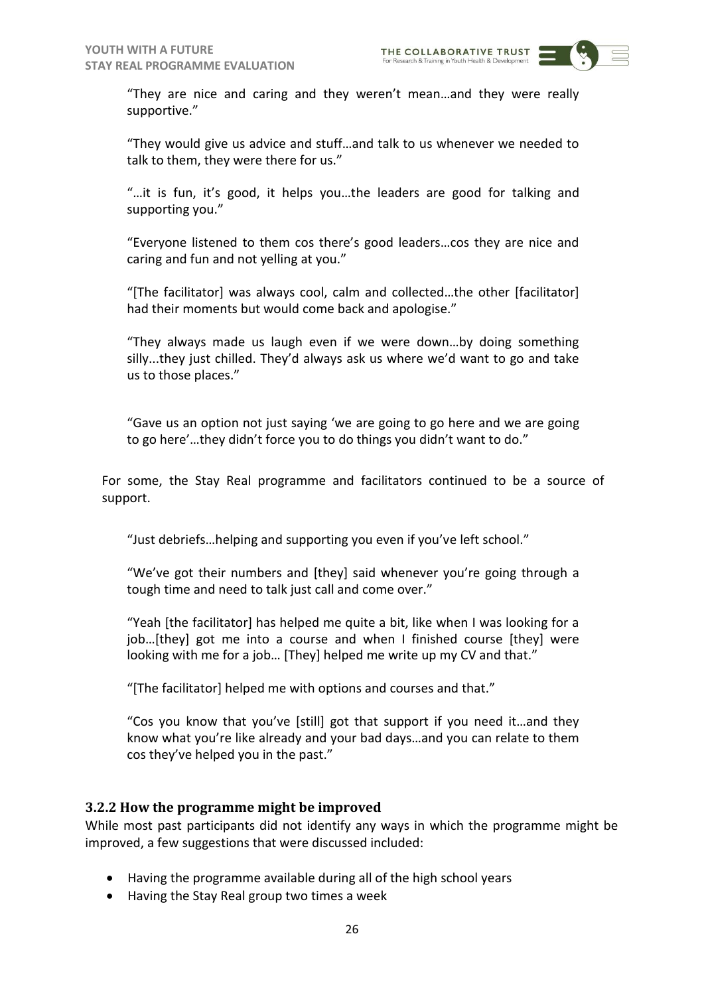"They are nice and caring and they weren't mean…and they were really supportive."

"They would give us advice and stuff…and talk to us whenever we needed to talk to them, they were there for us."

"...it is fun, it's good, it helps you...the leaders are good for talking and supporting you."

"Everyone listened to them cos there's good leaders…cos they are nice and caring and fun and not yelling at you."

"[The facilitator] was always cool, calm and collected…the other [facilitator] had their moments but would come back and apologise."

"They always made us laugh even if we were down…by doing something silly...they just chilled. They'd always ask us where we'd want to go and take us to those places."

"Gave us an option not just saying 'we are going to go here and we are going to go here'…they didn't force you to do things you didn't want to do."

For some, the Stay Real programme and facilitators continued to be a source of support.

"Just debriefs…helping and supporting you even if you've left school."

"We've got their numbers and [they] said whenever you're going through a tough time and need to talk just call and come over."

"Yeah [the facilitator] has helped me quite a bit, like when I was looking for a job…[they] got me into a course and when I finished course [they] were looking with me for a job... [They] helped me write up my CV and that."

"[The facilitator] helped me with options and courses and that."

"Cos you know that you've [still] got that support if you need it…and they know what you're like already and your bad days…and you can relate to them cos they've helped you in the past."

#### <span id="page-26-0"></span>**3.2.2 How the programme might be improved**

While most past participants did not identify any ways in which the programme might be improved, a few suggestions that were discussed included:

- Having the programme available during all of the high school years
- Having the Stay Real group two times a week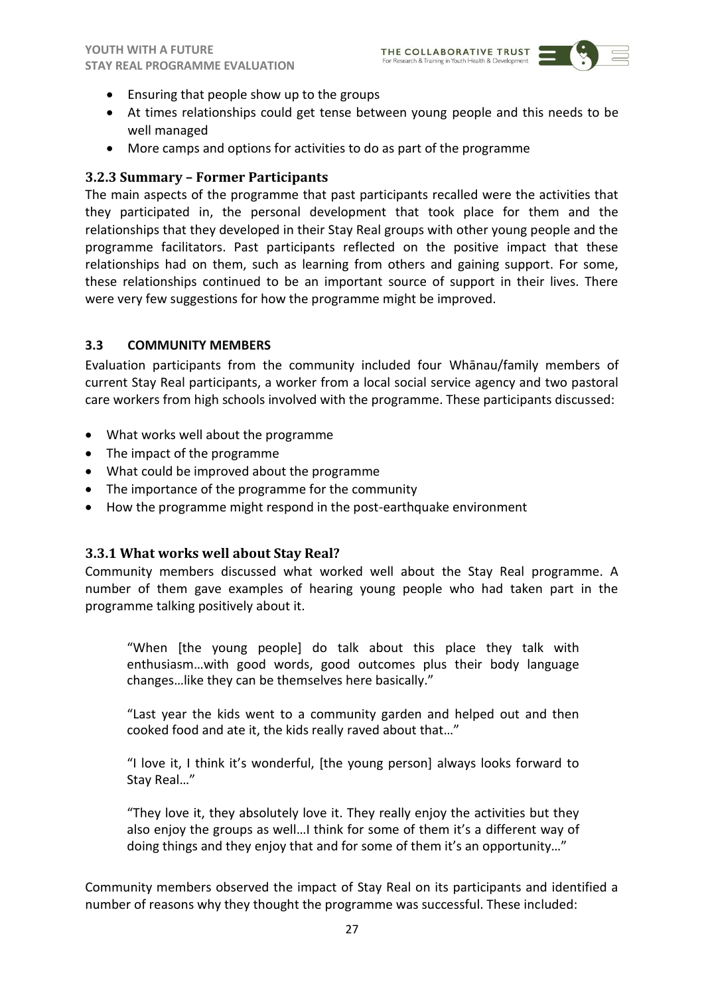

- At times relationships could get tense between young people and this needs to be well managed
- More camps and options for activities to do as part of the programme

## <span id="page-27-0"></span>**3.2.3 Summary – Former Participants**

The main aspects of the programme that past participants recalled were the activities that they participated in, the personal development that took place for them and the relationships that they developed in their Stay Real groups with other young people and the programme facilitators. Past participants reflected on the positive impact that these relationships had on them, such as learning from others and gaining support. For some, these relationships continued to be an important source of support in their lives. There were very few suggestions for how the programme might be improved.

## <span id="page-27-1"></span>**3.3 COMMUNITY MEMBERS**

Evaluation participants from the community included four Whānau/family members of current Stay Real participants, a worker from a local social service agency and two pastoral care workers from high schools involved with the programme. These participants discussed:

- What works well about the programme
- The impact of the programme
- What could be improved about the programme
- The importance of the programme for the community
- How the programme might respond in the post-earthquake environment

## <span id="page-27-2"></span>**3.3.1 What works well about Stay Real?**

Community members discussed what worked well about the Stay Real programme. A number of them gave examples of hearing young people who had taken part in the programme talking positively about it.

"When [the young people] do talk about this place they talk with enthusiasm…with good words, good outcomes plus their body language changes…like they can be themselves here basically."

"Last year the kids went to a community garden and helped out and then cooked food and ate it, the kids really raved about that…"

"I love it, I think it's wonderful, [the young person] always looks forward to Stay Real…"

"They love it, they absolutely love it. They really enjoy the activities but they also enjoy the groups as well…I think for some of them it's a different way of doing things and they enjoy that and for some of them it's an opportunity…"

Community members observed the impact of Stay Real on its participants and identified a number of reasons why they thought the programme was successful. These included: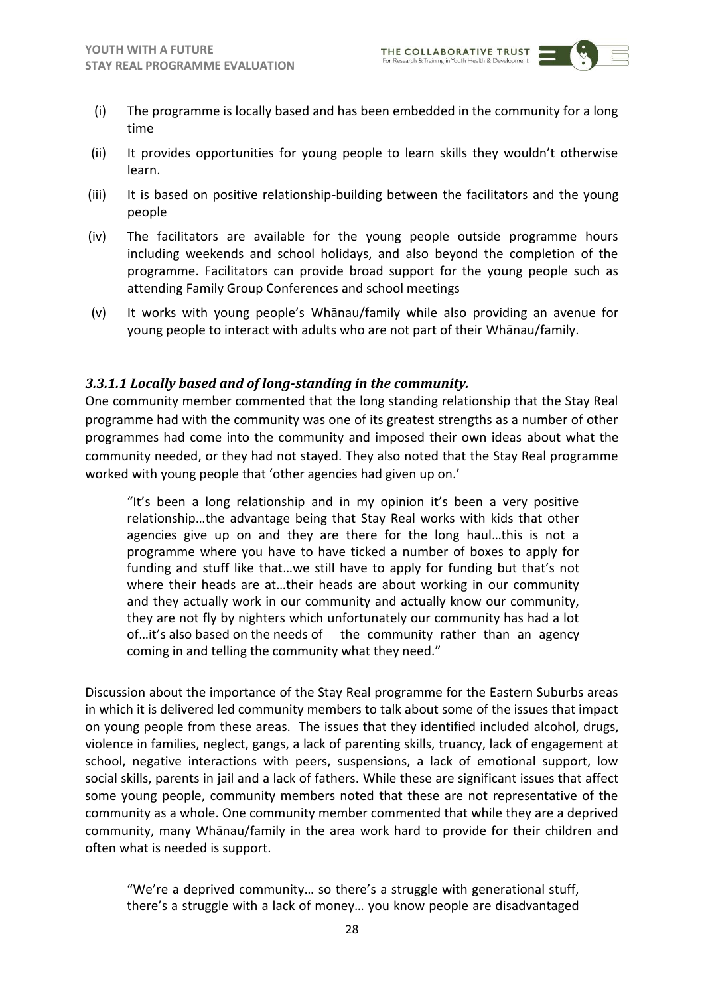- (i) The programme is locally based and has been embedded in the community for a long time
- (ii) It provides opportunities for young people to learn skills they wouldn't otherwise learn.
- (iii) It is based on positive relationship-building between the facilitators and the young people
- (iv) The facilitators are available for the young people outside programme hours including weekends and school holidays, and also beyond the completion of the programme. Facilitators can provide broad support for the young people such as attending Family Group Conferences and school meetings
- (v) It works with young people's Whānau/family while also providing an avenue for young people to interact with adults who are not part of their Whānau/family.

## *3.3.1.1 Locally based and of long-standing in the community.*

One community member commented that the long standing relationship that the Stay Real programme had with the community was one of its greatest strengths as a number of other programmes had come into the community and imposed their own ideas about what the community needed, or they had not stayed. They also noted that the Stay Real programme worked with young people that 'other agencies had given up on.'

"It's been a long relationship and in my opinion it's been a very positive relationship…the advantage being that Stay Real works with kids that other agencies give up on and they are there for the long haul…this is not a programme where you have to have ticked a number of boxes to apply for funding and stuff like that…we still have to apply for funding but that's not where their heads are at…their heads are about working in our community and they actually work in our community and actually know our community, they are not fly by nighters which unfortunately our community has had a lot of…it's also based on the needs of the community rather than an agency coming in and telling the community what they need."

Discussion about the importance of the Stay Real programme for the Eastern Suburbs areas in which it is delivered led community members to talk about some of the issues that impact on young people from these areas. The issues that they identified included alcohol, drugs, violence in families, neglect, gangs, a lack of parenting skills, truancy, lack of engagement at school, negative interactions with peers, suspensions, a lack of emotional support, low social skills, parents in jail and a lack of fathers. While these are significant issues that affect some young people, community members noted that these are not representative of the community as a whole. One community member commented that while they are a deprived community, many Whānau/family in the area work hard to provide for their children and often what is needed is support.

"We're a deprived community… so there's a struggle with generational stuff, there's a struggle with a lack of money… you know people are disadvantaged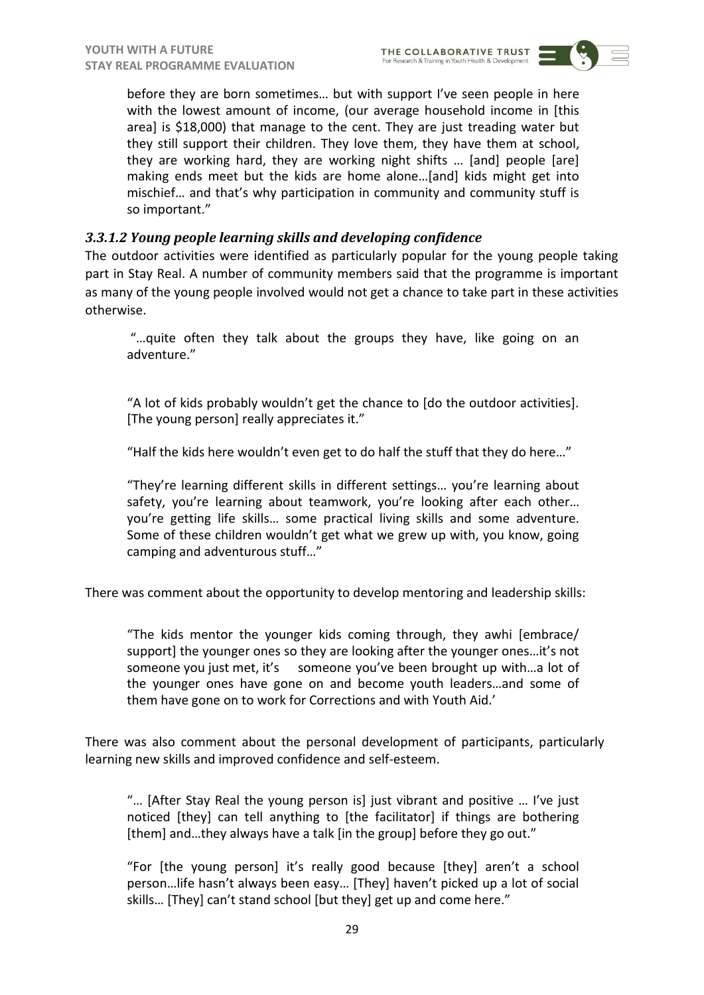

before they are born sometimes… but with support I've seen people in here with the lowest amount of income, (our average household income in [this area] is \$18,000) that manage to the cent. They are just treading water but they still support their children. They love them, they have them at school, they are working hard, they are working night shifts … [and] people [are] making ends meet but the kids are home alone…[and] kids might get into mischief… and that's why participation in community and community stuff is so important."

## *3.3.1.2 Young people learning skills and developing confidence*

The outdoor activities were identified as particularly popular for the young people taking part in Stay Real. A number of community members said that the programme is important as many of the young people involved would not get a chance to take part in these activities otherwise.

"…quite often they talk about the groups they have, like going on an adventure."

"A lot of kids probably wouldn't get the chance to [do the outdoor activities]. [The young person] really appreciates it."

"Half the kids here wouldn't even get to do half the stuff that they do here…"

"They're learning different skills in different settings… you're learning about safety, you're learning about teamwork, you're looking after each other… you're getting life skills… some practical living skills and some adventure. Some of these children wouldn't get what we grew up with, you know, going camping and adventurous stuff…"

There was comment about the opportunity to develop mentoring and leadership skills:

"The kids mentor the younger kids coming through, they awhi [embrace/ support] the younger ones so they are looking after the younger ones...it's not someone you just met, it's someone you've been brought up with...a lot of the younger ones have gone on and become youth leaders…and some of them have gone on to work for Corrections and with Youth Aid.'

There was also comment about the personal development of participants, particularly learning new skills and improved confidence and self-esteem.

"… [After Stay Real the young person is] just vibrant and positive … I've just noticed [they] can tell anything to [the facilitator] if things are bothering [them] and...they always have a talk [in the group] before they go out."

"For [the young person] it's really good because [they] aren't a school person…life hasn't always been easy… [They] haven't picked up a lot of social skills… [They] can't stand school [but they] get up and come here."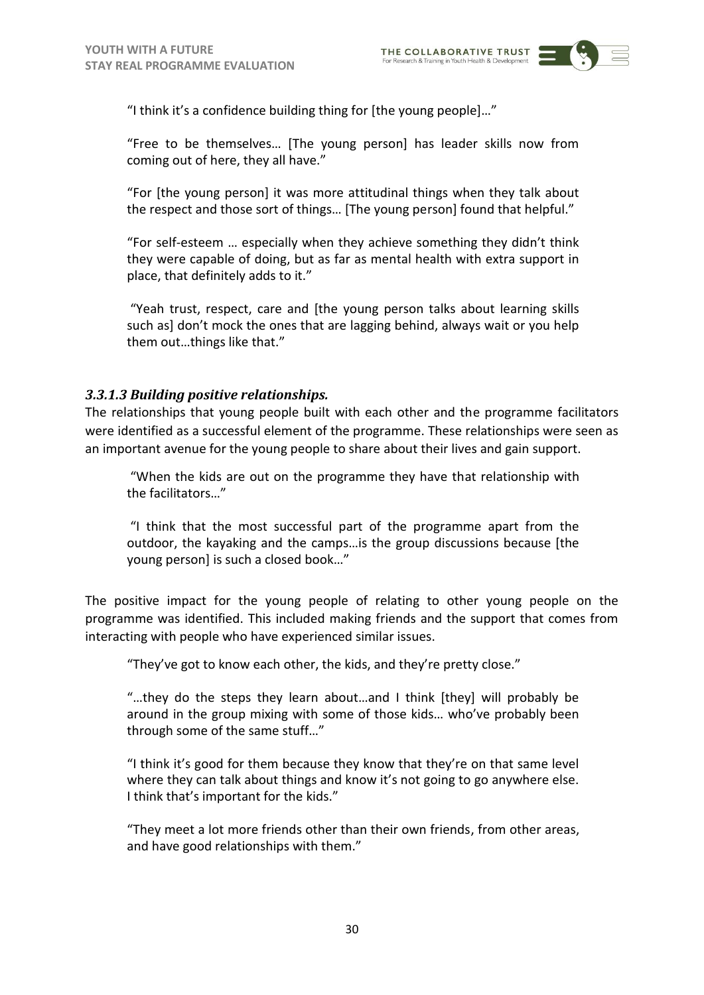THE COLLABORATIVE TRUST For Research & Training in Youth Health & D

"I think it's a confidence building thing for [the young people]…"

"Free to be themselves… [The young person] has leader skills now from coming out of here, they all have."

"For [the young person] it was more attitudinal things when they talk about the respect and those sort of things… [The young person] found that helpful."

"For self-esteem … especially when they achieve something they didn't think they were capable of doing, but as far as mental health with extra support in place, that definitely adds to it."

"Yeah trust, respect, care and [the young person talks about learning skills such as] don't mock the ones that are lagging behind, always wait or you help them out…things like that."

## *3.3.1.3 Building positive relationships.*

The relationships that young people built with each other and the programme facilitators were identified as a successful element of the programme. These relationships were seen as an important avenue for the young people to share about their lives and gain support.

"When the kids are out on the programme they have that relationship with the facilitators…"

"I think that the most successful part of the programme apart from the outdoor, the kayaking and the camps…is the group discussions because [the young person] is such a closed book…"

The positive impact for the young people of relating to other young people on the programme was identified. This included making friends and the support that comes from interacting with people who have experienced similar issues.

"They've got to know each other, the kids, and they're pretty close."

"…they do the steps they learn about…and I think [they] will probably be around in the group mixing with some of those kids… who've probably been through some of the same stuff…"

"I think it's good for them because they know that they're on that same level where they can talk about things and know it's not going to go anywhere else. I think that's important for the kids."

"They meet a lot more friends other than their own friends, from other areas, and have good relationships with them."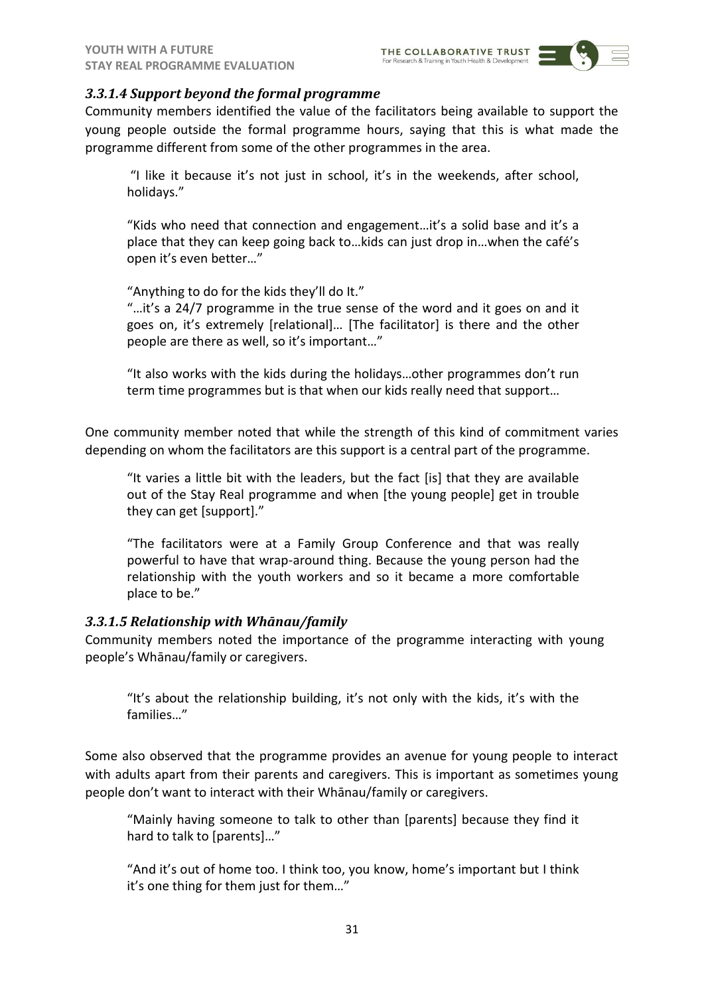

# *3.3.1.4 Support beyond the formal programme*

Community members identified the value of the facilitators being available to support the young people outside the formal programme hours, saying that this is what made the programme different from some of the other programmes in the area.

"I like it because it's not just in school, it's in the weekends, after school, holidays."

"Kids who need that connection and engagement…it's a solid base and it's a place that they can keep going back to…kids can just drop in…when the café's open it's even better…"

"Anything to do for the kids they'll do It."

"…it's a 24/7 programme in the true sense of the word and it goes on and it goes on, it's extremely [relational]… [The facilitator] is there and the other people are there as well, so it's important…"

"It also works with the kids during the holidays…other programmes don't run term time programmes but is that when our kids really need that support…

One community member noted that while the strength of this kind of commitment varies depending on whom the facilitators are this support is a central part of the programme.

"It varies a little bit with the leaders, but the fact [is] that they are available out of the Stay Real programme and when [the young people] get in trouble they can get [support]."

"The facilitators were at a Family Group Conference and that was really powerful to have that wrap-around thing. Because the young person had the relationship with the youth workers and so it became a more comfortable place to be."

## *3.3.1.5 Relationship with Whānau/family*

Community members noted the importance of the programme interacting with young people's Whānau/family or caregivers.

"It's about the relationship building, it's not only with the kids, it's with the families…"

Some also observed that the programme provides an avenue for young people to interact with adults apart from their parents and caregivers. This is important as sometimes young people don't want to interact with their Whānau/family or caregivers.

"Mainly having someone to talk to other than [parents] because they find it hard to talk to [parents]..."

"And it's out of home too. I think too, you know, home's important but I think it's one thing for them just for them…"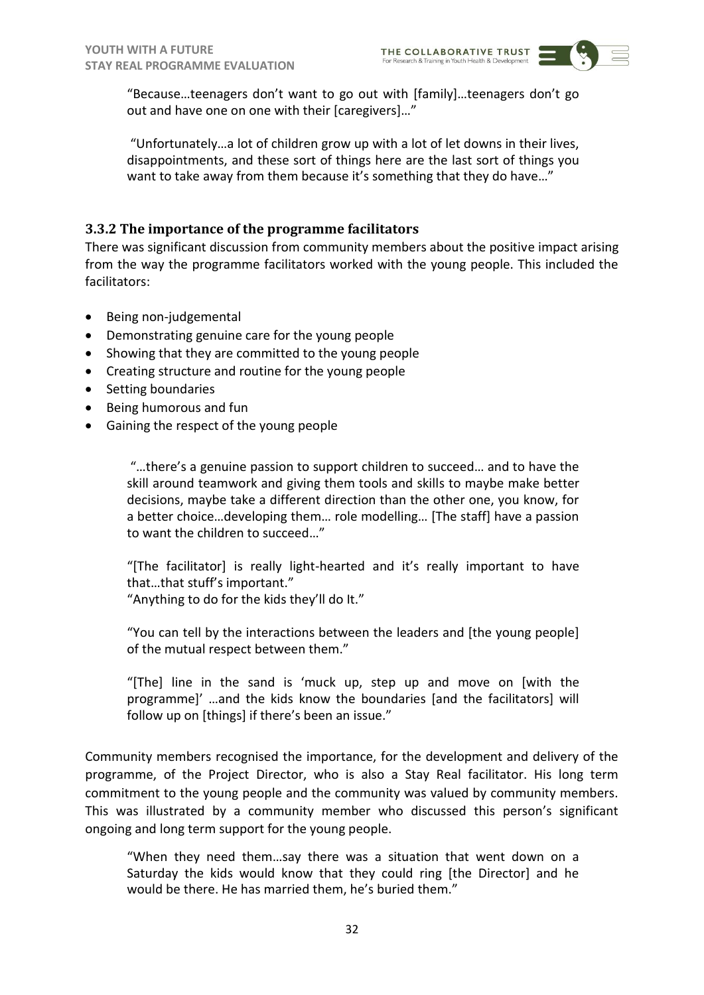"Because…teenagers don't want to go out with [family]…teenagers don't go out and have one on one with their [caregivers]…"

"Unfortunately…a lot of children grow up with a lot of let downs in their lives, disappointments, and these sort of things here are the last sort of things you want to take away from them because it's something that they do have..."

# <span id="page-32-0"></span>**3.3.2 The importance of the programme facilitators**

There was significant discussion from community members about the positive impact arising from the way the programme facilitators worked with the young people. This included the facilitators:

- Being non-judgemental
- Demonstrating genuine care for the young people
- Showing that they are committed to the young people
- Creating structure and routine for the young people
- Setting boundaries
- Being humorous and fun
- Gaining the respect of the young people

"…there's a genuine passion to support children to succeed… and to have the skill around teamwork and giving them tools and skills to maybe make better decisions, maybe take a different direction than the other one, you know, for a better choice…developing them… role modelling… [The staff] have a passion to want the children to succeed…"

"[The facilitator] is really light-hearted and it's really important to have that…that stuff's important."

"Anything to do for the kids they'll do It."

"You can tell by the interactions between the leaders and [the young people] of the mutual respect between them."

"[The] line in the sand is 'muck up, step up and move on [with the programme]' …and the kids know the boundaries [and the facilitators] will follow up on [things] if there's been an issue."

Community members recognised the importance, for the development and delivery of the programme, of the Project Director, who is also a Stay Real facilitator. His long term commitment to the young people and the community was valued by community members. This was illustrated by a community member who discussed this person's significant ongoing and long term support for the young people.

"When they need them…say there was a situation that went down on a Saturday the kids would know that they could ring [the Director] and he would be there. He has married them, he's buried them."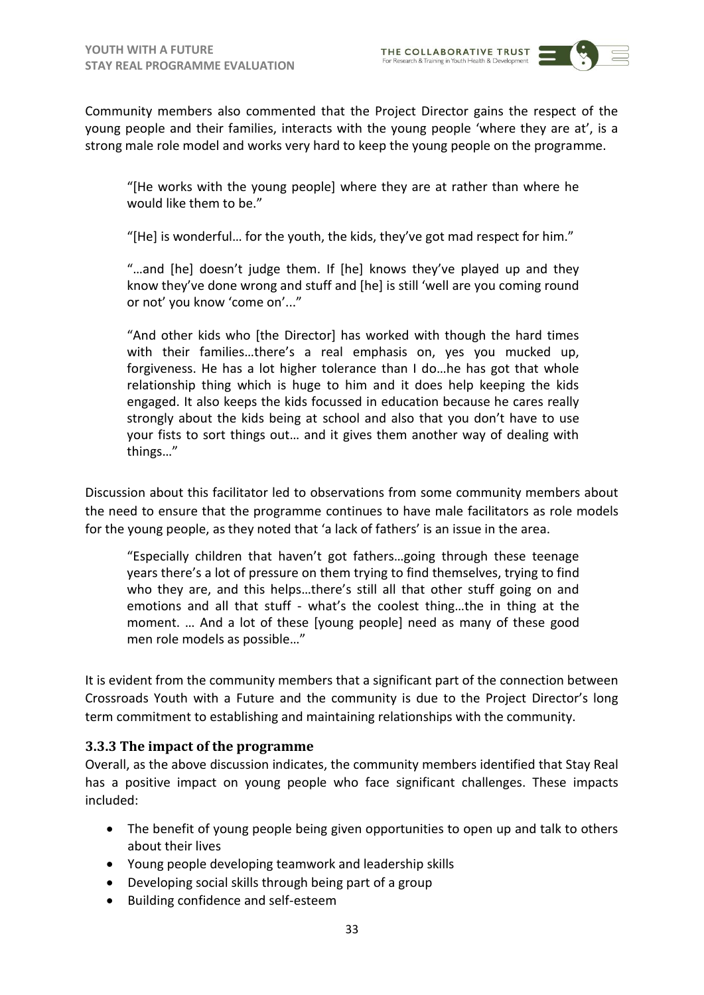Community members also commented that the Project Director gains the respect of the young people and their families, interacts with the young people 'where they are at', is a strong male role model and works very hard to keep the young people on the programme.

"[He works with the young people] where they are at rather than where he would like them to be."

"[He] is wonderful… for the youth, the kids, they've got mad respect for him."

"…and [he] doesn't judge them. If [he] knows they've played up and they know they've done wrong and stuff and [he] is still 'well are you coming round or not' you know 'come on'..."

"And other kids who [the Director] has worked with though the hard times with their families…there's a real emphasis on, yes you mucked up, forgiveness. He has a lot higher tolerance than I do…he has got that whole relationship thing which is huge to him and it does help keeping the kids engaged. It also keeps the kids focussed in education because he cares really strongly about the kids being at school and also that you don't have to use your fists to sort things out… and it gives them another way of dealing with things…"

Discussion about this facilitator led to observations from some community members about the need to ensure that the programme continues to have male facilitators as role models for the young people, as they noted that 'a lack of fathers' is an issue in the area.

"Especially children that haven't got fathers…going through these teenage years there's a lot of pressure on them trying to find themselves, trying to find who they are, and this helps…there's still all that other stuff going on and emotions and all that stuff - what's the coolest thing…the in thing at the moment. … And a lot of these [young people] need as many of these good men role models as possible…"

It is evident from the community members that a significant part of the connection between Crossroads Youth with a Future and the community is due to the Project Director's long term commitment to establishing and maintaining relationships with the community.

## <span id="page-33-0"></span>**3.3.3 The impact of the programme**

Overall, as the above discussion indicates, the community members identified that Stay Real has a positive impact on young people who face significant challenges. These impacts included:

- The benefit of young people being given opportunities to open up and talk to others about their lives
- Young people developing teamwork and leadership skills
- Developing social skills through being part of a group
- Building confidence and self-esteem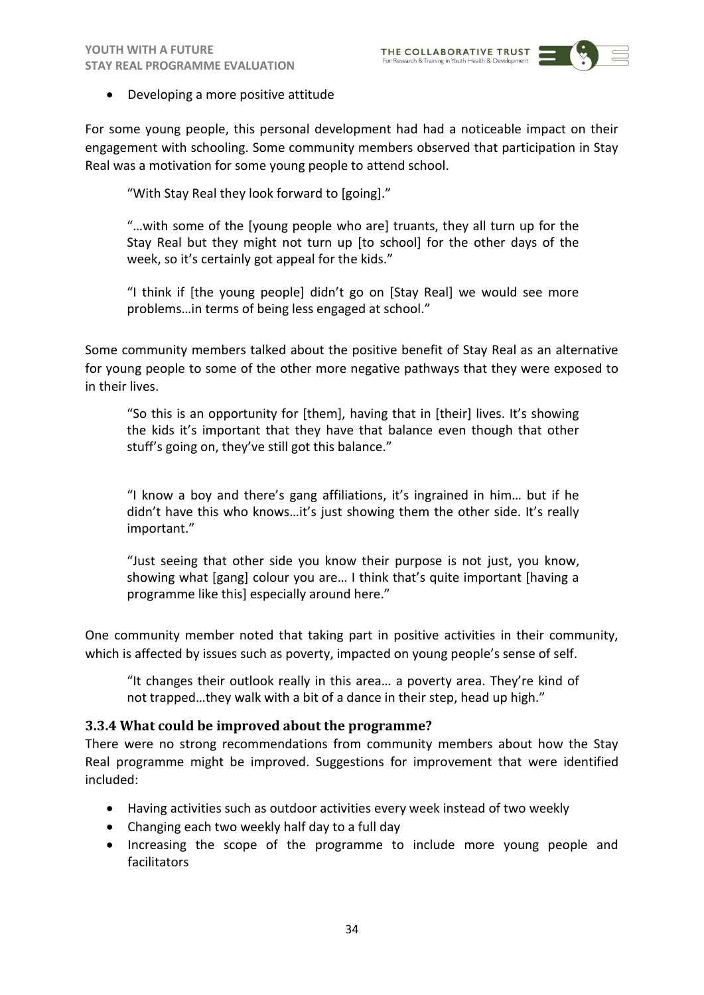

## • Developing a more positive attitude

For some young people, this personal development had had a noticeable impact on their engagement with schooling. Some community members observed that participation in Stay Real was a motivation for some young people to attend school.

"With Stay Real they look forward to [going]."

"…with some of the [young people who are] truants, they all turn up for the Stay Real but they might not turn up [to school] for the other days of the week, so it's certainly got appeal for the kids."

"I think if [the young people] didn't go on [Stay Real] we would see more problems…in terms of being less engaged at school."

Some community members talked about the positive benefit of Stay Real as an alternative for young people to some of the other more negative pathways that they were exposed to in their lives.

"So this is an opportunity for [them], having that in [their] lives. It's showing the kids it's important that they have that balance even though that other stuff's going on, they've still got this balance."

"I know a boy and there's gang affiliations, it's ingrained in him… but if he didn't have this who knows…it's just showing them the other side. It's really important."

"Just seeing that other side you know their purpose is not just, you know, showing what [gang] colour you are… I think that's quite important [having a programme like this] especially around here."

One community member noted that taking part in positive activities in their community, which is affected by issues such as poverty, impacted on young people's sense of self.

"It changes their outlook really in this area… a poverty area. They're kind of not trapped…they walk with a bit of a dance in their step, head up high."

## <span id="page-34-0"></span>**3.3.4 What could be improved about the programme?**

There were no strong recommendations from community members about how the Stay Real programme might be improved. Suggestions for improvement that were identified included:

- Having activities such as outdoor activities every week instead of two weekly
- Changing each two weekly half day to a full day
- Increasing the scope of the programme to include more young people and facilitators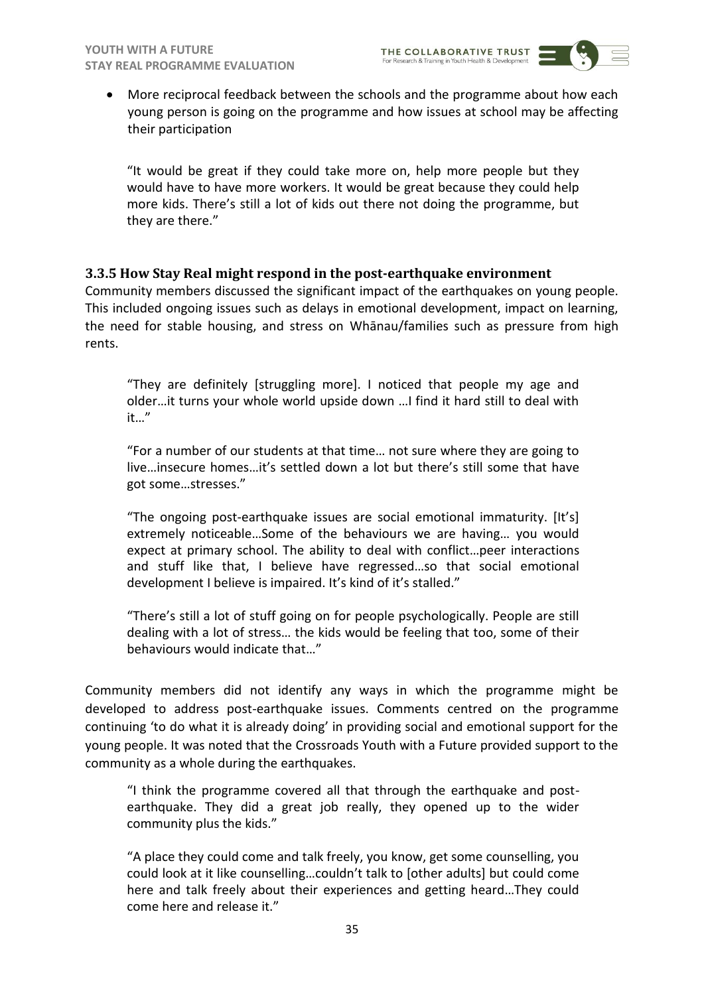

"It would be great if they could take more on, help more people but they would have to have more workers. It would be great because they could help more kids. There's still a lot of kids out there not doing the programme, but they are there."

## <span id="page-35-0"></span>**3.3.5 How Stay Real might respond in the post-earthquake environment**

Community members discussed the significant impact of the earthquakes on young people. This included ongoing issues such as delays in emotional development, impact on learning, the need for stable housing, and stress on Whānau/families such as pressure from high rents.

"They are definitely [struggling more]. I noticed that people my age and older…it turns your whole world upside down …I find it hard still to deal with it…"

"For a number of our students at that time… not sure where they are going to live…insecure homes…it's settled down a lot but there's still some that have got some…stresses."

"The ongoing post-earthquake issues are social emotional immaturity. [It's] extremely noticeable…Some of the behaviours we are having… you would expect at primary school. The ability to deal with conflict…peer interactions and stuff like that, I believe have regressed…so that social emotional development I believe is impaired. It's kind of it's stalled."

"There's still a lot of stuff going on for people psychologically. People are still dealing with a lot of stress… the kids would be feeling that too, some of their behaviours would indicate that…"

Community members did not identify any ways in which the programme might be developed to address post-earthquake issues. Comments centred on the programme continuing 'to do what it is already doing' in providing social and emotional support for the young people. It was noted that the Crossroads Youth with a Future provided support to the community as a whole during the earthquakes.

"I think the programme covered all that through the earthquake and postearthquake. They did a great job really, they opened up to the wider community plus the kids."

"A place they could come and talk freely, you know, get some counselling, you could look at it like counselling…couldn't talk to [other adults] but could come here and talk freely about their experiences and getting heard…They could come here and release it."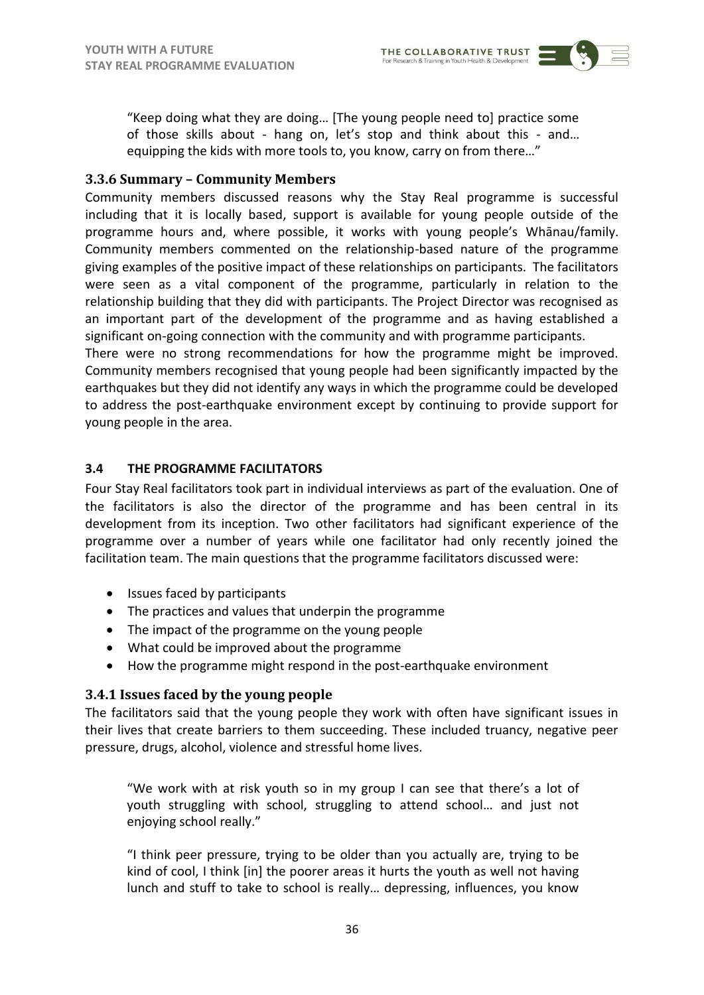"Keep doing what they are doing… [The young people need to] practice some of those skills about - hang on, let's stop and think about this - and… equipping the kids with more tools to, you know, carry on from there…"

## <span id="page-36-0"></span>**3.3.6 Summary – Community Members**

Community members discussed reasons why the Stay Real programme is successful including that it is locally based, support is available for young people outside of the programme hours and, where possible, it works with young people's Whānau/family. Community members commented on the relationship-based nature of the programme giving examples of the positive impact of these relationships on participants. The facilitators were seen as a vital component of the programme, particularly in relation to the relationship building that they did with participants. The Project Director was recognised as an important part of the development of the programme and as having established a significant on-going connection with the community and with programme participants.

There were no strong recommendations for how the programme might be improved. Community members recognised that young people had been significantly impacted by the earthquakes but they did not identify any ways in which the programme could be developed to address the post-earthquake environment except by continuing to provide support for young people in the area.

## <span id="page-36-1"></span>**3.4 THE PROGRAMME FACILITATORS**

Four Stay Real facilitators took part in individual interviews as part of the evaluation. One of the facilitators is also the director of the programme and has been central in its development from its inception. Two other facilitators had significant experience of the programme over a number of years while one facilitator had only recently joined the facilitation team. The main questions that the programme facilitators discussed were:

- Issues faced by participants
- The practices and values that underpin the programme
- The impact of the programme on the young people
- What could be improved about the programme
- How the programme might respond in the post-earthquake environment

#### <span id="page-36-2"></span>**3.4.1 Issues faced by the young people**

The facilitators said that the young people they work with often have significant issues in their lives that create barriers to them succeeding. These included truancy, negative peer pressure, drugs, alcohol, violence and stressful home lives.

"We work with at risk youth so in my group I can see that there's a lot of youth struggling with school, struggling to attend school… and just not enjoying school really."

"I think peer pressure, trying to be older than you actually are, trying to be kind of cool, I think [in] the poorer areas it hurts the youth as well not having lunch and stuff to take to school is really… depressing, influences, you know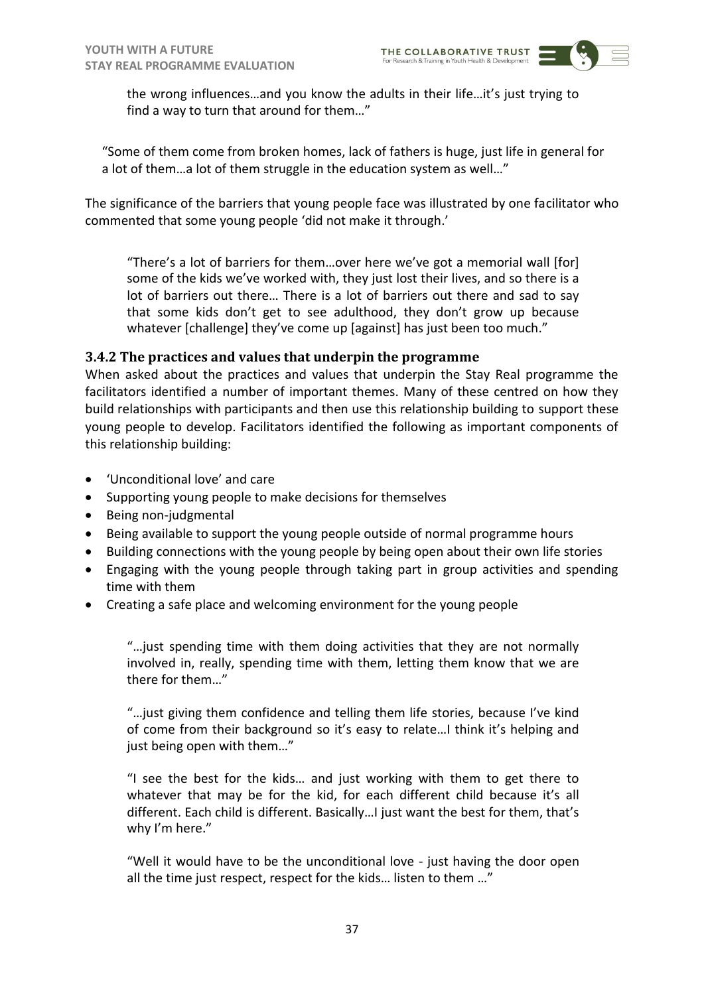the wrong influences…and you know the adults in their life…it's just trying to find a way to turn that around for them…"

"Some of them come from broken homes, lack of fathers is huge, just life in general for a lot of them…a lot of them struggle in the education system as well…"

The significance of the barriers that young people face was illustrated by one facilitator who commented that some young people 'did not make it through.'

"There's a lot of barriers for them…over here we've got a memorial wall [for] some of the kids we've worked with, they just lost their lives, and so there is a lot of barriers out there… There is a lot of barriers out there and sad to say that some kids don't get to see adulthood, they don't grow up because whatever [challenge] they've come up [against] has just been too much."

# <span id="page-37-0"></span>**3.4.2 The practices and values that underpin the programme**

When asked about the practices and values that underpin the Stay Real programme the facilitators identified a number of important themes. Many of these centred on how they build relationships with participants and then use this relationship building to support these young people to develop. Facilitators identified the following as important components of this relationship building:

- 'Unconditional love' and care
- Supporting young people to make decisions for themselves
- Being non-judgmental
- Being available to support the young people outside of normal programme hours
- Building connections with the young people by being open about their own life stories
- Engaging with the young people through taking part in group activities and spending time with them
- Creating a safe place and welcoming environment for the young people

"…just spending time with them doing activities that they are not normally involved in, really, spending time with them, letting them know that we are there for them…"

"…just giving them confidence and telling them life stories, because I've kind of come from their background so it's easy to relate…I think it's helping and just being open with them…"

"I see the best for the kids… and just working with them to get there to whatever that may be for the kid, for each different child because it's all different. Each child is different. Basically…I just want the best for them, that's why I'm here."

"Well it would have to be the unconditional love - just having the door open all the time just respect, respect for the kids… listen to them …"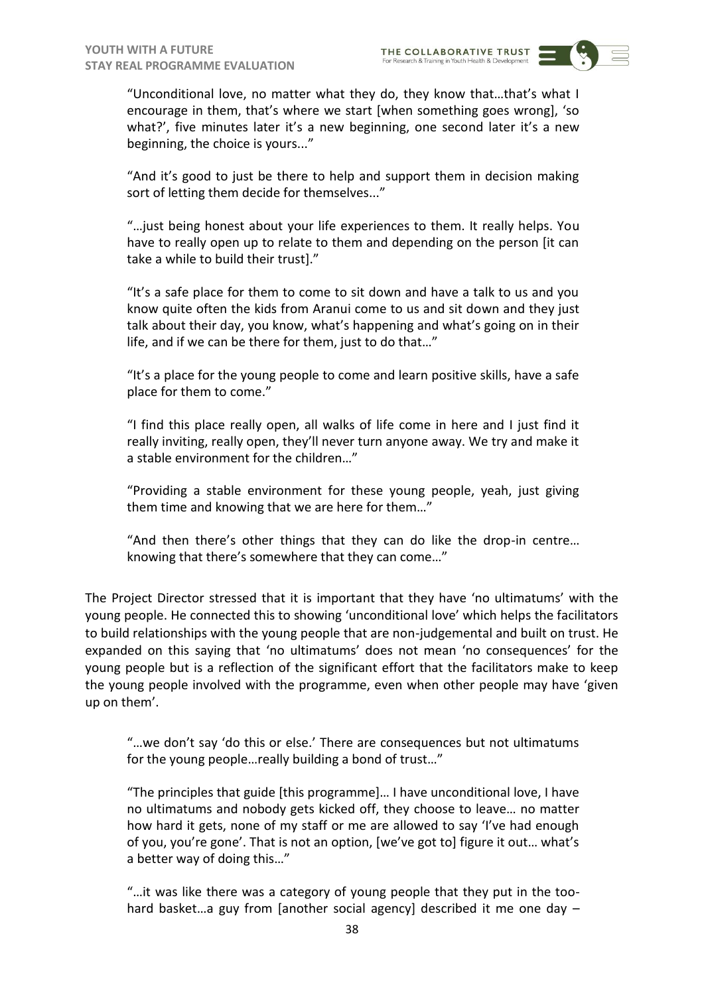"Unconditional love, no matter what they do, they know that…that's what I encourage in them, that's where we start [when something goes wrong], 'so what?', five minutes later it's a new beginning, one second later it's a new beginning, the choice is yours..."

"And it's good to just be there to help and support them in decision making sort of letting them decide for themselves..."

"…just being honest about your life experiences to them. It really helps. You have to really open up to relate to them and depending on the person [it can take a while to build their trust]."

"It's a safe place for them to come to sit down and have a talk to us and you know quite often the kids from Aranui come to us and sit down and they just talk about their day, you know, what's happening and what's going on in their life, and if we can be there for them, just to do that…"

"It's a place for the young people to come and learn positive skills, have a safe place for them to come."

"I find this place really open, all walks of life come in here and I just find it really inviting, really open, they'll never turn anyone away. We try and make it a stable environment for the children…"

"Providing a stable environment for these young people, yeah, just giving them time and knowing that we are here for them…"

"And then there's other things that they can do like the drop-in centre… knowing that there's somewhere that they can come…"

The Project Director stressed that it is important that they have 'no ultimatums' with the young people. He connected this to showing 'unconditional love' which helps the facilitators to build relationships with the young people that are non-judgemental and built on trust. He expanded on this saying that 'no ultimatums' does not mean 'no consequences' for the young people but is a reflection of the significant effort that the facilitators make to keep the young people involved with the programme, even when other people may have 'given up on them'.

"…we don't say 'do this or else.' There are consequences but not ultimatums for the young people…really building a bond of trust…"

"The principles that guide [this programme]… I have unconditional love, I have no ultimatums and nobody gets kicked off, they choose to leave… no matter how hard it gets, none of my staff or me are allowed to say 'I've had enough of you, you're gone'. That is not an option, [we've got to] figure it out… what's a better way of doing this…"

"…it was like there was a category of young people that they put in the toohard basket…a guy from [another social agency] described it me one day –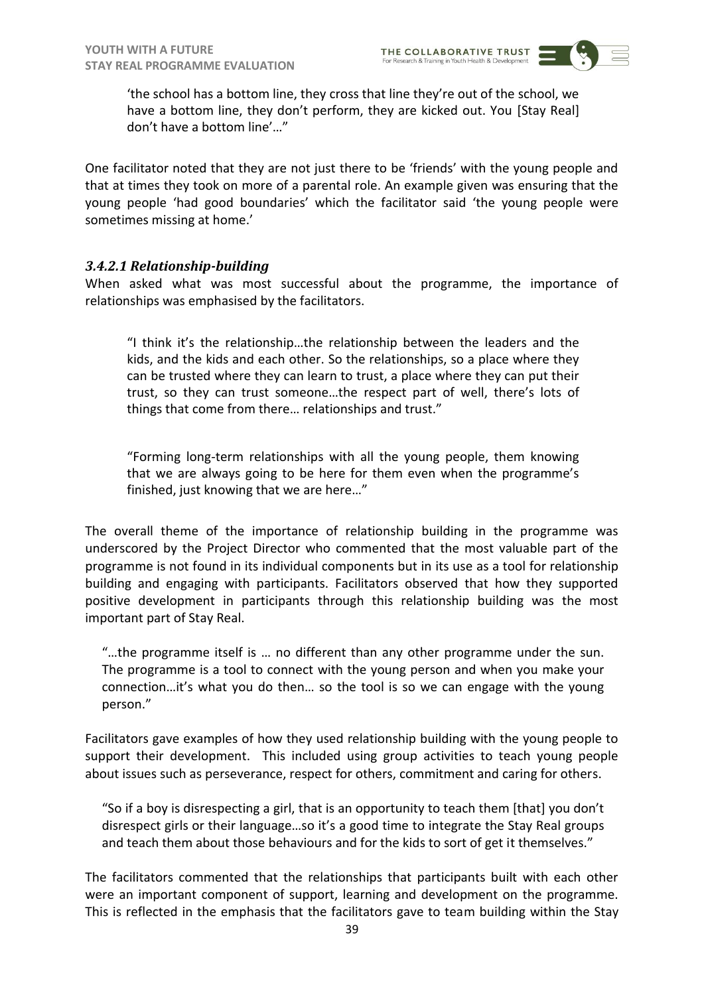'the school has a bottom line, they cross that line they're out of the school, we have a bottom line, they don't perform, they are kicked out. You [Stay Real] don't have a bottom line'…"

One facilitator noted that they are not just there to be 'friends' with the young people and that at times they took on more of a parental role. An example given was ensuring that the young people 'had good boundaries' which the facilitator said 'the young people were sometimes missing at home.'

## *3.4.2.1 Relationship-building*

When asked what was most successful about the programme, the importance of relationships was emphasised by the facilitators.

"I think it's the relationship…the relationship between the leaders and the kids, and the kids and each other. So the relationships, so a place where they can be trusted where they can learn to trust, a place where they can put their trust, so they can trust someone…the respect part of well, there's lots of things that come from there… relationships and trust."

"Forming long-term relationships with all the young people, them knowing that we are always going to be here for them even when the programme's finished, just knowing that we are here…"

The overall theme of the importance of relationship building in the programme was underscored by the Project Director who commented that the most valuable part of the programme is not found in its individual components but in its use as a tool for relationship building and engaging with participants. Facilitators observed that how they supported positive development in participants through this relationship building was the most important part of Stay Real.

"…the programme itself is … no different than any other programme under the sun. The programme is a tool to connect with the young person and when you make your connection…it's what you do then… so the tool is so we can engage with the young person."

Facilitators gave examples of how they used relationship building with the young people to support their development. This included using group activities to teach young people about issues such as perseverance, respect for others, commitment and caring for others.

"So if a boy is disrespecting a girl, that is an opportunity to teach them [that] you don't disrespect girls or their language…so it's a good time to integrate the Stay Real groups and teach them about those behaviours and for the kids to sort of get it themselves."

The facilitators commented that the relationships that participants built with each other were an important component of support, learning and development on the programme. This is reflected in the emphasis that the facilitators gave to team building within the Stay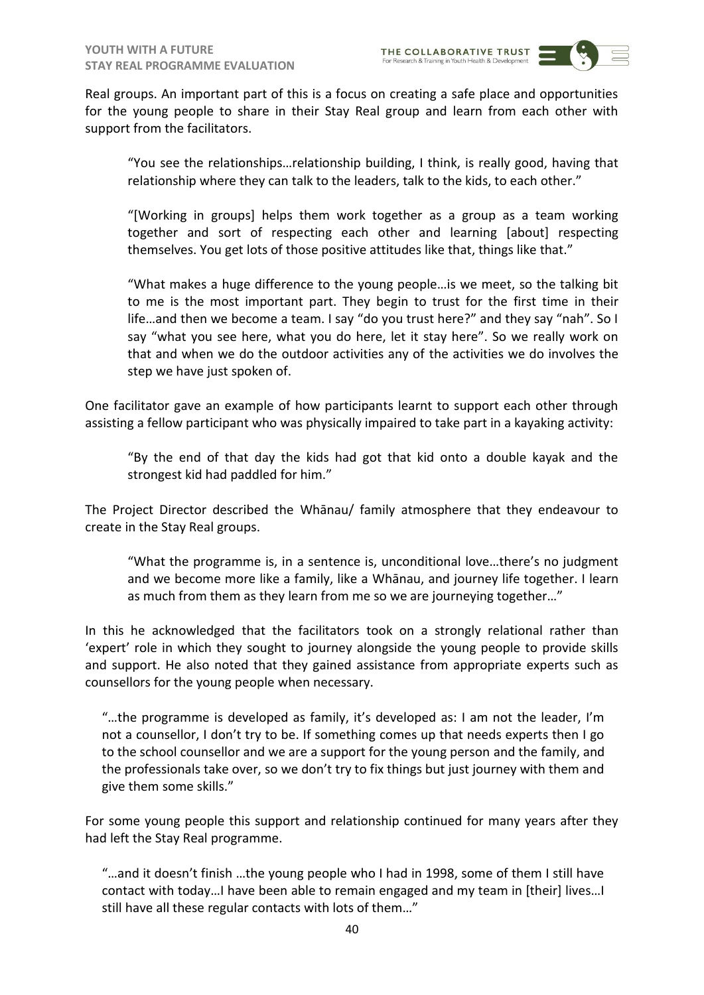Real groups. An important part of this is a focus on creating a safe place and opportunities for the young people to share in their Stay Real group and learn from each other with support from the facilitators.

"You see the relationships…relationship building, I think, is really good, having that relationship where they can talk to the leaders, talk to the kids, to each other."

"[Working in groups] helps them work together as a group as a team working together and sort of respecting each other and learning [about] respecting themselves. You get lots of those positive attitudes like that, things like that."

"What makes a huge difference to the young people…is we meet, so the talking bit to me is the most important part. They begin to trust for the first time in their life…and then we become a team. I say "do you trust here?" and they say "nah". So I say "what you see here, what you do here, let it stay here". So we really work on that and when we do the outdoor activities any of the activities we do involves the step we have just spoken of.

One facilitator gave an example of how participants learnt to support each other through assisting a fellow participant who was physically impaired to take part in a kayaking activity:

"By the end of that day the kids had got that kid onto a double kayak and the strongest kid had paddled for him."

The Project Director described the Whānau/ family atmosphere that they endeavour to create in the Stay Real groups.

"What the programme is, in a sentence is, unconditional love…there's no judgment and we become more like a family, like a Whānau, and journey life together. I learn as much from them as they learn from me so we are journeying together…"

In this he acknowledged that the facilitators took on a strongly relational rather than 'expert' role in which they sought to journey alongside the young people to provide skills and support. He also noted that they gained assistance from appropriate experts such as counsellors for the young people when necessary.

"…the programme is developed as family, it's developed as: I am not the leader, I'm not a counsellor, I don't try to be. If something comes up that needs experts then I go to the school counsellor and we are a support for the young person and the family, and the professionals take over, so we don't try to fix things but just journey with them and give them some skills."

For some young people this support and relationship continued for many years after they had left the Stay Real programme.

"…and it doesn't finish …the young people who I had in 1998, some of them I still have contact with today…I have been able to remain engaged and my team in [their] lives…I still have all these regular contacts with lots of them…"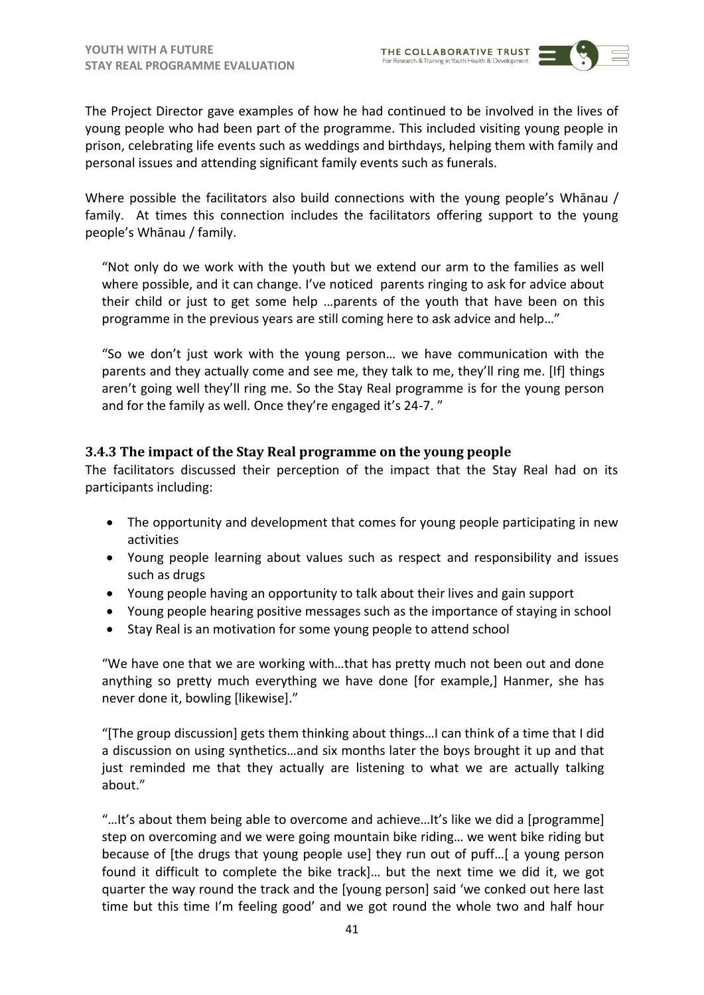

The Project Director gave examples of how he had continued to be involved in the lives of young people who had been part of the programme. This included visiting young people in prison, celebrating life events such as weddings and birthdays, helping them with family and personal issues and attending significant family events such as funerals.

Where possible the facilitators also build connections with the young people's Whānau / family. At times this connection includes the facilitators offering support to the young people's Whānau / family.

"Not only do we work with the youth but we extend our arm to the families as well where possible, and it can change. I've noticed parents ringing to ask for advice about their child or just to get some help …parents of the youth that have been on this programme in the previous years are still coming here to ask advice and help…"

"So we don't just work with the young person… we have communication with the parents and they actually come and see me, they talk to me, they'll ring me. [If] things aren't going well they'll ring me. So the Stay Real programme is for the young person and for the family as well. Once they're engaged it's 24-7. "

## <span id="page-41-0"></span>**3.4.3 The impact of the Stay Real programme on the young people**

The facilitators discussed their perception of the impact that the Stay Real had on its participants including:

- The opportunity and development that comes for young people participating in new activities
- Young people learning about values such as respect and responsibility and issues such as drugs
- Young people having an opportunity to talk about their lives and gain support
- Young people hearing positive messages such as the importance of staying in school
- Stay Real is an motivation for some young people to attend school

"We have one that we are working with…that has pretty much not been out and done anything so pretty much everything we have done [for example,] Hanmer, she has never done it, bowling [likewise]."

"[The group discussion] gets them thinking about things…I can think of a time that I did a discussion on using synthetics…and six months later the boys brought it up and that just reminded me that they actually are listening to what we are actually talking about."

"…It's about them being able to overcome and achieve…It's like we did a [programme] step on overcoming and we were going mountain bike riding… we went bike riding but because of [the drugs that young people use] they run out of puff…[ a young person found it difficult to complete the bike track]… but the next time we did it, we got quarter the way round the track and the [young person] said 'we conked out here last time but this time I'm feeling good' and we got round the whole two and half hour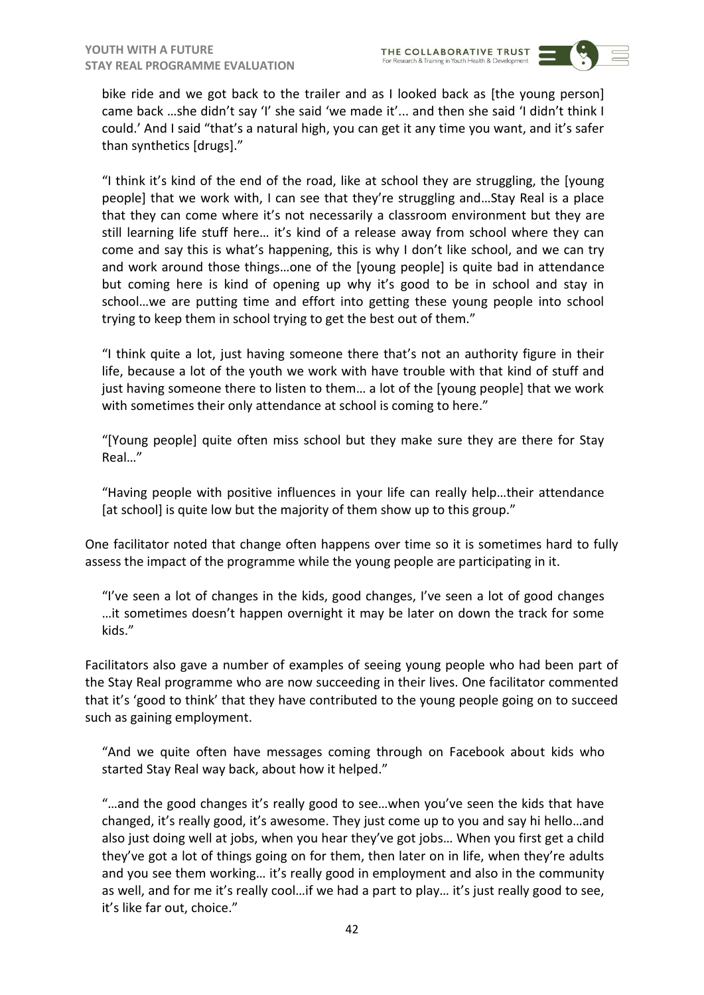

"I think it's kind of the end of the road, like at school they are struggling, the [young people] that we work with, I can see that they're struggling and…Stay Real is a place that they can come where it's not necessarily a classroom environment but they are still learning life stuff here… it's kind of a release away from school where they can come and say this is what's happening, this is why I don't like school, and we can try and work around those things…one of the [young people] is quite bad in attendance but coming here is kind of opening up why it's good to be in school and stay in school…we are putting time and effort into getting these young people into school trying to keep them in school trying to get the best out of them."

"I think quite a lot, just having someone there that's not an authority figure in their life, because a lot of the youth we work with have trouble with that kind of stuff and just having someone there to listen to them… a lot of the [young people] that we work with sometimes their only attendance at school is coming to here."

"[Young people] quite often miss school but they make sure they are there for Stay Real…"

"Having people with positive influences in your life can really help…their attendance [at school] is quite low but the majority of them show up to this group."

One facilitator noted that change often happens over time so it is sometimes hard to fully assess the impact of the programme while the young people are participating in it.

"I've seen a lot of changes in the kids, good changes, I've seen a lot of good changes …it sometimes doesn't happen overnight it may be later on down the track for some kids."

Facilitators also gave a number of examples of seeing young people who had been part of the Stay Real programme who are now succeeding in their lives. One facilitator commented that it's 'good to think' that they have contributed to the young people going on to succeed such as gaining employment.

"And we quite often have messages coming through on Facebook about kids who started Stay Real way back, about how it helped."

"…and the good changes it's really good to see…when you've seen the kids that have changed, it's really good, it's awesome. They just come up to you and say hi hello…and also just doing well at jobs, when you hear they've got jobs… When you first get a child they've got a lot of things going on for them, then later on in life, when they're adults and you see them working… it's really good in employment and also in the community as well, and for me it's really cool…if we had a part to play… it's just really good to see, it's like far out, choice."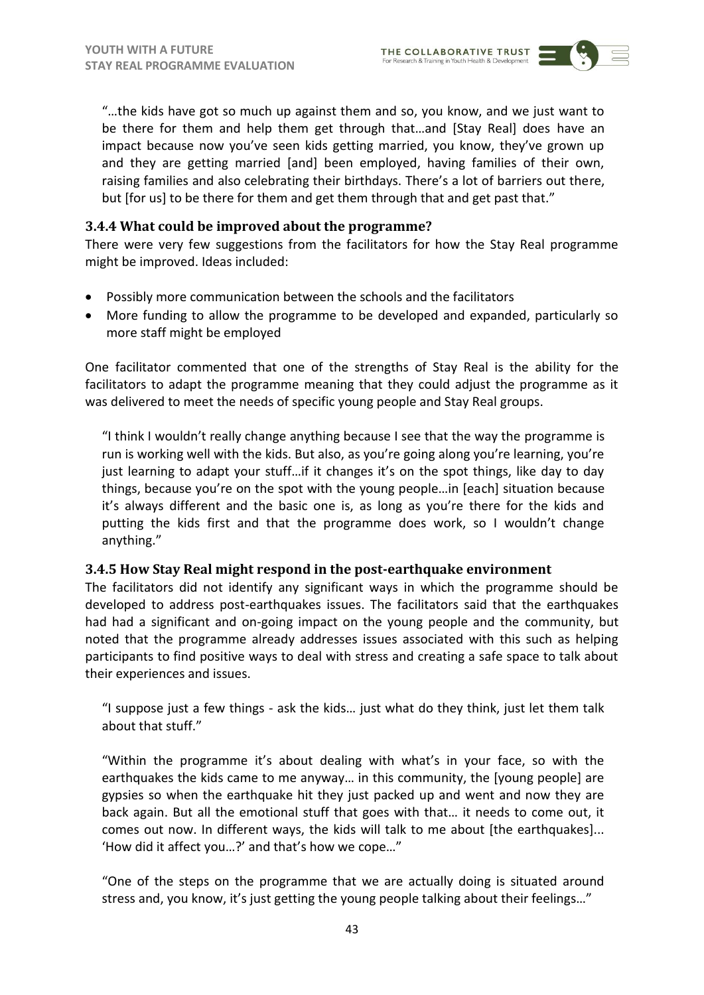

# <span id="page-43-0"></span>**3.4.4 What could be improved about the programme?**

There were very few suggestions from the facilitators for how the Stay Real programme might be improved. Ideas included:

- Possibly more communication between the schools and the facilitators
- More funding to allow the programme to be developed and expanded, particularly so more staff might be employed

One facilitator commented that one of the strengths of Stay Real is the ability for the facilitators to adapt the programme meaning that they could adjust the programme as it was delivered to meet the needs of specific young people and Stay Real groups.

"I think I wouldn't really change anything because I see that the way the programme is run is working well with the kids. But also, as you're going along you're learning, you're just learning to adapt your stuff…if it changes it's on the spot things, like day to day things, because you're on the spot with the young people…in [each] situation because it's always different and the basic one is, as long as you're there for the kids and putting the kids first and that the programme does work, so I wouldn't change anything."

## <span id="page-43-1"></span>**3.4.5 How Stay Real might respond in the post-earthquake environment**

The facilitators did not identify any significant ways in which the programme should be developed to address post-earthquakes issues. The facilitators said that the earthquakes had had a significant and on-going impact on the young people and the community, but noted that the programme already addresses issues associated with this such as helping participants to find positive ways to deal with stress and creating a safe space to talk about their experiences and issues.

"I suppose just a few things - ask the kids… just what do they think, just let them talk about that stuff."

"Within the programme it's about dealing with what's in your face, so with the earthquakes the kids came to me anyway… in this community, the [young people] are gypsies so when the earthquake hit they just packed up and went and now they are back again. But all the emotional stuff that goes with that… it needs to come out, it comes out now. In different ways, the kids will talk to me about [the earthquakes]... 'How did it affect you…?' and that's how we cope…"

"One of the steps on the programme that we are actually doing is situated around stress and, you know, it's just getting the young people talking about their feelings…"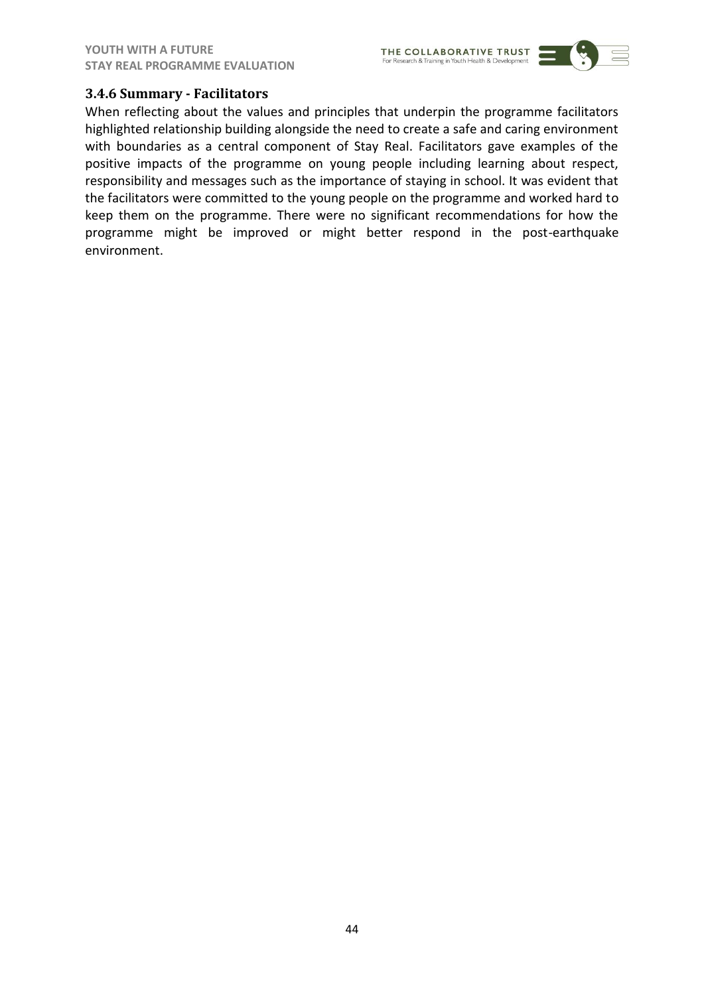

## <span id="page-44-0"></span>**3.4.6 Summary - Facilitators**

When reflecting about the values and principles that underpin the programme facilitators highlighted relationship building alongside the need to create a safe and caring environment with boundaries as a central component of Stay Real. Facilitators gave examples of the positive impacts of the programme on young people including learning about respect, responsibility and messages such as the importance of staying in school. It was evident that the facilitators were committed to the young people on the programme and worked hard to keep them on the programme. There were no significant recommendations for how the programme might be improved or might better respond in the post-earthquake environment.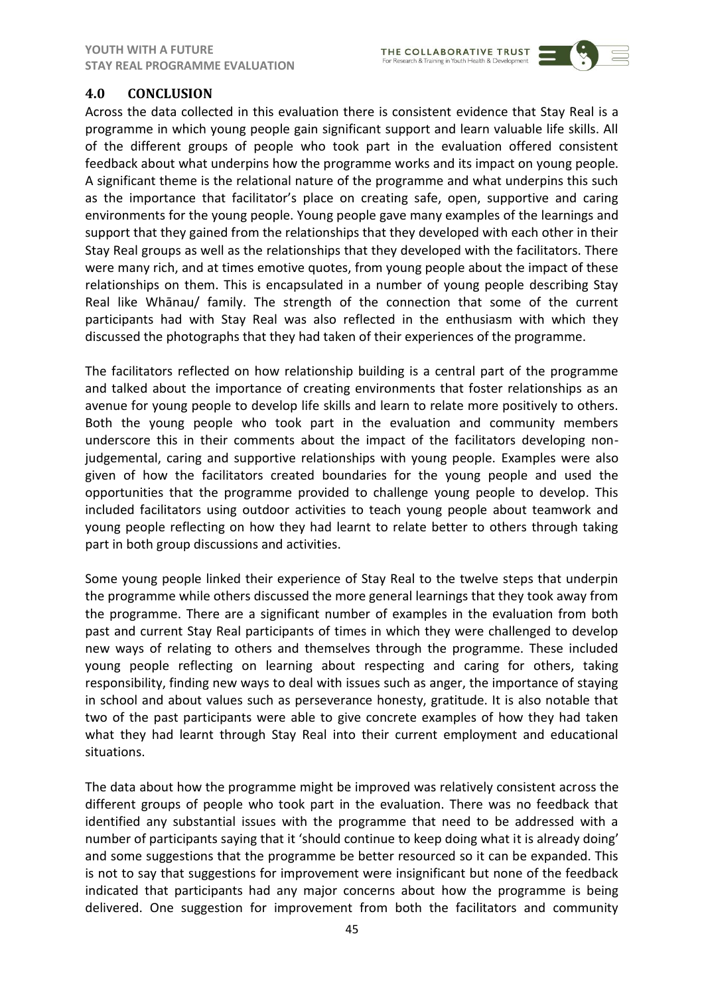

# <span id="page-45-0"></span>**4.0 CONCLUSION**

Across the data collected in this evaluation there is consistent evidence that Stay Real is a programme in which young people gain significant support and learn valuable life skills. All of the different groups of people who took part in the evaluation offered consistent feedback about what underpins how the programme works and its impact on young people. A significant theme is the relational nature of the programme and what underpins this such as the importance that facilitator's place on creating safe, open, supportive and caring environments for the young people. Young people gave many examples of the learnings and support that they gained from the relationships that they developed with each other in their Stay Real groups as well as the relationships that they developed with the facilitators. There were many rich, and at times emotive quotes, from young people about the impact of these relationships on them. This is encapsulated in a number of young people describing Stay Real like Whānau/ family. The strength of the connection that some of the current participants had with Stay Real was also reflected in the enthusiasm with which they discussed the photographs that they had taken of their experiences of the programme.

The facilitators reflected on how relationship building is a central part of the programme and talked about the importance of creating environments that foster relationships as an avenue for young people to develop life skills and learn to relate more positively to others. Both the young people who took part in the evaluation and community members underscore this in their comments about the impact of the facilitators developing nonjudgemental, caring and supportive relationships with young people. Examples were also given of how the facilitators created boundaries for the young people and used the opportunities that the programme provided to challenge young people to develop. This included facilitators using outdoor activities to teach young people about teamwork and young people reflecting on how they had learnt to relate better to others through taking part in both group discussions and activities.

Some young people linked their experience of Stay Real to the twelve steps that underpin the programme while others discussed the more general learnings that they took away from the programme. There are a significant number of examples in the evaluation from both past and current Stay Real participants of times in which they were challenged to develop new ways of relating to others and themselves through the programme. These included young people reflecting on learning about respecting and caring for others, taking responsibility, finding new ways to deal with issues such as anger, the importance of staying in school and about values such as perseverance honesty, gratitude. It is also notable that two of the past participants were able to give concrete examples of how they had taken what they had learnt through Stay Real into their current employment and educational situations.

The data about how the programme might be improved was relatively consistent across the different groups of people who took part in the evaluation. There was no feedback that identified any substantial issues with the programme that need to be addressed with a number of participants saying that it 'should continue to keep doing what it is already doing' and some suggestions that the programme be better resourced so it can be expanded. This is not to say that suggestions for improvement were insignificant but none of the feedback indicated that participants had any major concerns about how the programme is being delivered. One suggestion for improvement from both the facilitators and community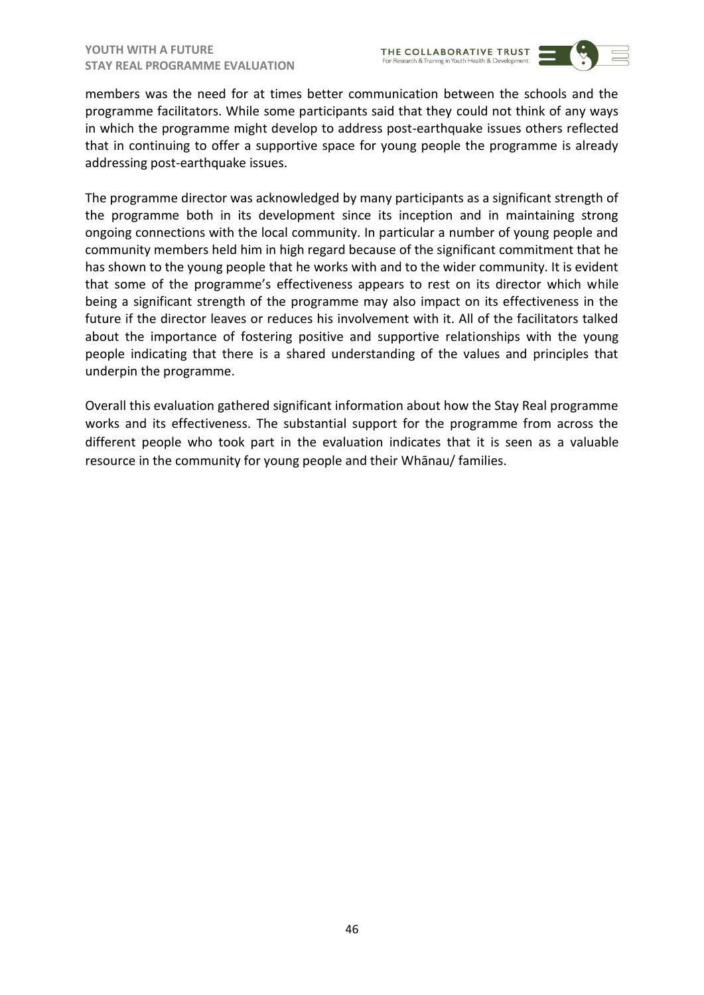

members was the need for at times better communication between the schools and the programme facilitators. While some participants said that they could not think of any ways in which the programme might develop to address post-earthquake issues others reflected that in continuing to offer a supportive space for young people the programme is already addressing post-earthquake issues.

The programme director was acknowledged by many participants as a significant strength of the programme both in its development since its inception and in maintaining strong ongoing connections with the local community. In particular a number of young people and community members held him in high regard because of the significant commitment that he has shown to the young people that he works with and to the wider community. It is evident that some of the programme's effectiveness appears to rest on its director which while being a significant strength of the programme may also impact on its effectiveness in the future if the director leaves or reduces his involvement with it. All of the facilitators talked about the importance of fostering positive and supportive relationships with the young people indicating that there is a shared understanding of the values and principles that underpin the programme.

Overall this evaluation gathered significant information about how the Stay Real programme works and its effectiveness. The substantial support for the programme from across the different people who took part in the evaluation indicates that it is seen as a valuable resource in the community for young people and their Whānau/ families.